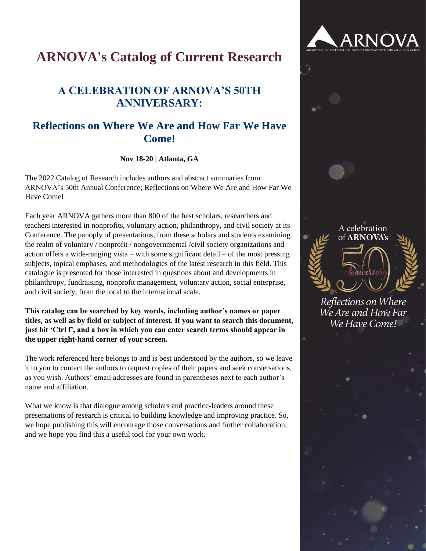# **ARNOVA's Catalog of Current Research**

# **A CELEBRATION OF ARNOVA'S 50TH ANNIVERSARY:**

# **Reflections on Where We Are and How Far We Have Come!**

**Nov 18-20 | Atlanta, GA**

The 2022 Catalog of Research includes authors and abstract summaries from ARNOVA's 50th Annual Conference; Reflections on Where We Are and How Far We Have Come!

Each year ARNOVA gathers more than 800 of the best scholars, researchers and teachers interested in nonprofits, voluntary action, philanthropy, and civil society at its Conference. The panoply of presentations, from these scholars and students examining the realm of voluntary / nonprofit / nongovernmental /civil society organizations and action offers a wide-ranging vista – with some significant detail – of the most pressing subjects, topical emphases, and methodologies of the latest research in this field. This catalogue is presented for those interested in questions about and developments in philanthropy, fundraising, nonprofit management, voluntary action, social enterprise, and civil society, from the local to the international scale.

**This catalog can be searched by key words, including author's names or paper titles, as well as by field or subject of interest. If you want to search this document, just hit 'Ctrl f', and a box in which you can enter search terms should appear in the upper right-hand corner of your screen.**

The work referenced here belongs to and is best understood by the authors, so we leave it to you to contact the authors to request copies of their papers and seek conversations, as you wish. Authors' email addresses are found in parentheses next to each author's name and affiliation.

What we know is that dialogue among scholars and practice-leaders around these presentations of research is critical to building knowledge and improving practice. So, we hope publishing this will encourage those conversations and further collaboration; and we hope you find this a useful tool for your own work.

# A celebration of ARNOVA's

**ARNOVA** 

Reflections on Where We Are and How Far We Have Come!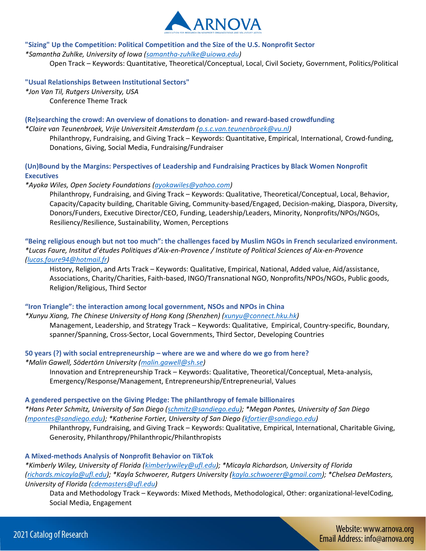

#### **"Sizing" Up the Competition: Political Competition and the Size of the U.S. Nonprofit Sector**

*\*Samantha Zuhlke, University of Iowa [\(samantha-zuhlke@uiowa.edu\)](mailto:samantha-zuhlke@uiowa.edu)*

Open Track – Keywords: Quantitative, Theoretical/Conceptual, Local, Civil Society, Government, Politics/Political

## **"Usual Relationships Between Institutional Sectors"**

*\*Jon Van Til, Rutgers University, USA* Conference Theme Track

# **(Re)searching the crowd: An overview of donations to donation- and reward-based crowdfunding**

*\*Claire van Teunenbroek, Vrije Universiteit Amsterdam [\(p.s.c.van.teunenbroek@vu.nl\)](mailto:p.s.c.van.teunenbroek@vu.nl)*

Philanthropy, Fundraising, and Giving Track – Keywords: Quantitative, Empirical, International, Crowd-funding, Donations, Giving, Social Media, Fundraising/Fundraiser

# **(Un)Bound by the Margins: Perspectives of Leadership and Fundraising Practices by Black Women Nonprofit Executives**

*\*Ayoka Wiles, Open Society Foundations [\(ayokawiles@yahoo.com\)](mailto:ayokawiles@yahoo.com)*

Philanthropy, Fundraising, and Giving Track – Keywords: Qualitative, Theoretical/Conceptual, Local, Behavior, Capacity/Capacity building, Charitable Giving, Community-based/Engaged, Decision-making, Diaspora, Diversity, Donors/Funders, Executive Director/CEO, Funding, Leadership/Leaders, Minority, Nonprofits/NPOs/NGOs, Resiliency/Resilience, Sustainability, Women, Perceptions

# **"Being religious enough but not too much": the challenges faced by Muslim NGOs in French secularized environment.**  *\*Lucas Faure, Institut d'études Politiques d'Aix-en-Provence / Institute of Political Sciences of Aix-en-Provence [\(lucas.faure94@hotmail.fr\)](mailto:lucas.faure94@hotmail.fr)*

History, Religion, and Arts Track – Keywords: Qualitative, Empirical, National, Added value, Aid/assistance, Associations, Charity/Charities, Faith-based, INGO/Transnational NGO, Nonprofits/NPOs/NGOs, Public goods, Religion/Religious, Third Sector

# **"Iron Triangle": the interaction among local government, NSOs and NPOs in China**

*\*Xunyu Xiang, The Chinese University of Hong Kong (Shenzhen) [\(xunyu@connect.hku.hk\)](mailto:xunyu@connect.hku.hk)*

Management, Leadership, and Strategy Track – Keywords: Qualitative, Empirical, Country-specific, Boundary, spanner/Spanning, Cross-Sector, Local Governments, Third Sector, Developing Countries

# **50 years (?) with social entrepreneurship – where are we and where do we go from here?**

*\*Malin Gawell, Södertörn University [\(malin.gawell@sh.se\)](mailto:malin.gawell@sh.se)*

Innovation and Entrepreneurship Track – Keywords: Qualitative, Theoretical/Conceptual, Meta-analysis, Emergency/Response/Management, Entrepreneurship/Entrepreneurial, Values

# **A gendered perspective on the Giving Pledge: The philanthropy of female billionaires**

*\*Hans Peter Schmitz, University of San Diego [\(schmitz@sandiego.edu\)](mailto:schmitz@sandiego.edu); \*Megan Pontes, University of San Diego [\(mpontes@sandiego.edu\)](mailto:mpontes@sandiego.edu); \*Katherine Fortier, University of San Diego [\(kfortier@sandiego.edu\)](mailto:kfortier@sandiego.edu)*

Philanthropy, Fundraising, and Giving Track – Keywords: Qualitative, Empirical, International, Charitable Giving, Generosity, Philanthropy/Philanthropic/Philanthropists

# **A Mixed-methods Analysis of Nonprofit Behavior on TikTok**

*\*Kimberly Wiley, University of Florida [\(kimberlywiley@ufl.edu\)](mailto:kimberlywiley@ufl.edu); \*Micayla Richardson, University of Florida [\(richards.micayla@ufl.edu\)](mailto:richards.micayla@ufl.edu); \*Kayla Schwoerer, Rutgers University [\(kayla.schwoerer@gmail.com\)](mailto:kayla.schwoerer@gmail.com); \*Chelsea DeMasters, University of Florida [\(cdemasters@ufl.edu\)](mailto:cdemasters@ufl.edu)*

Data and Methodology Track – Keywords: Mixed Methods, Methodological, Other: organizational-levelCoding, Social Media, Engagement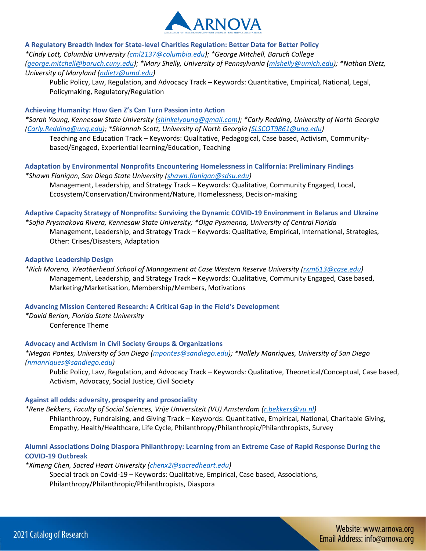

**A Regulatory Breadth Index for State-level Charities Regulation: Better Data for Better Policy**  *\*Cindy Lott, Columbia University [\(cml2137@columbia.edu\)](mailto:cml2137@columbia.edu); \*George Mitchell, Baruch College [\(george.mitchell@baruch.cuny.edu\)](mailto:george.mitchell@baruch.cuny.edu); \*Mary Shelly, University of Pennsylvania [\(mlshelly@umich.edu\)](mailto:mlshelly@umich.edu); \*Nathan Dietz, University of Maryland [\(ndietz@umd.edu\)](mailto:ndietz@umd.edu)*

Public Policy, Law, Regulation, and Advocacy Track – Keywords: Quantitative, Empirical, National, Legal, Policymaking, Regulatory/Regulation

#### **Achieving Humanity: How Gen Z's Can Turn Passion into Action**

*\*Sarah Young, Kennesaw State University [\(shinkelyoung@gmail.com\)](mailto:shinkelyoung@gmail.com); \*Carly Redding, University of North Georgia [\(Carly.Redding@ung.edu\)](mailto:Carly.Redding@ung.edu); \*Shiannah Scott, University of North Georgia [\(SLSCOT9861@ung.edu\)](mailto:SLSCOT9861@ung.edu)*

Teaching and Education Track – Keywords: Qualitative, Pedagogical, Case based, Activism, Communitybased/Engaged, Experiential learning/Education, Teaching

**Adaptation by Environmental Nonprofits Encountering Homelessness in California: Preliminary Findings** *\*Shawn Flanigan, San Diego State University [\(shawn.flanigan@sdsu.edu\)](mailto:shawn.flanigan@sdsu.edu)*

Management, Leadership, and Strategy Track – Keywords: Qualitative, Community Engaged, Local, Ecosystem/Conservation/Environment/Nature, Homelessness, Decision-making

# **Adaptive Capacity Strategy of Nonprofits: Surviving the Dynamic COVID-19 Environment in Belarus and Ukraine**

*\*Sofia Prysmakova Rivera, Kennesaw State University; \*Olga Pysmenna, University of Central Florida* Management, Leadership, and Strategy Track – Keywords: Qualitative, Empirical, International, Strategies, Other: Crises/Disasters, Adaptation

#### **Adaptive Leadership Design**

*\*Rich Moreno, Weatherhead School of Management at Case Western Reserve University [\(rxm613@case.edu\)](mailto:rxm613@case.edu)* Management, Leadership, and Strategy Track – Keywords: Qualitative, Community Engaged, Case based, Marketing/Marketisation, Membership/Members, Motivations

# **Advancing Mission Centered Research: A Critical Gap in the Field's Development**

*\*David Berlan, Florida State University* Conference Theme

# **Advocacy and Activism in Civil Society Groups & Organizations**

*\*Megan Pontes, University of San Diego [\(mpontes@sandiego.edu\)](mailto:mpontes@sandiego.edu); \*Nallely Manriques, University of San Diego [\(nmanriques@sandiego.edu\)](mailto:nmanriques@sandiego.edu)*

Public Policy, Law, Regulation, and Advocacy Track – Keywords: Qualitative, Theoretical/Conceptual, Case based, Activism, Advocacy, Social Justice, Civil Society

#### **Against all odds: adversity, prosperity and prosociality**

*\*Rene Bekkers, Faculty of Social Sciences, Vrije Universiteit (VU) Amsterdam [\(r.bekkers@vu.nl\)](mailto:r.bekkers@vu.nl)*

Philanthropy, Fundraising, and Giving Track – Keywords: Quantitative, Empirical, National, Charitable Giving, Empathy, Health/Healthcare, Life Cycle, Philanthropy/Philanthropic/Philanthropists, Survey

# **Alumni Associations Doing Diaspora Philanthropy: Learning from an Extreme Case of Rapid Response During the COVID-19 Outbreak**

*\*Ximeng Chen, Sacred Heart University [\(chenx2@sacredheart.edu\)](mailto:chenx2@sacredheart.edu)*

Special track on Covid-19 – Keywords: Qualitative, Empirical, Case based, Associations, Philanthropy/Philanthropic/Philanthropists, Diaspora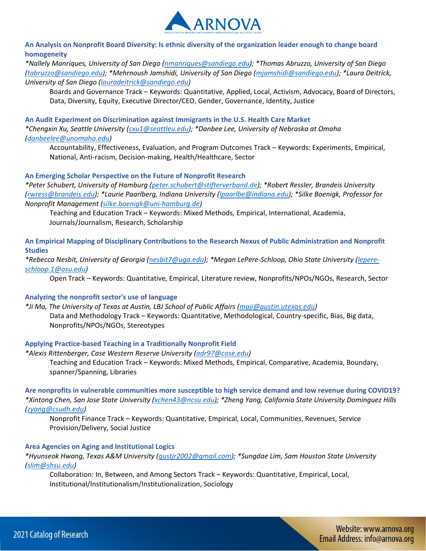

# **An Analysis on Nonprofit Board Diversity: Is ethnic diversity of the organization leader enough to change board homogeneity**

*\*Nallely Manriques, University of San Diego [\(nmanriques@sandiego.edu\)](mailto:nmanriques@sandiego.edu); \*Thomas Abruzzo, University of San Diego [\(tabruzzo@sandiego.edu\)](mailto:tabruzzo@sandiego.edu); \*Mehrnoush Jamshidi, University of San Diego [\(mjamshidi@sandiego.edu\)](mailto:mjamshidi@sandiego.edu); \*Laura Deitrick, University of San Diego [\(lauradeitrick@sandiego.edu\)](mailto:lauradeitrick@sandiego.edu)*

Boards and Governance Track – Keywords: Quantitative, Applied, Local, Activism, Advocacy, Board of Directors, Data, Diversity, Equity, Executive Director/CEO, Gender, Governance, Identity, Justice

**An Audit Experiment on Discrimination against Immigrants in the U.S. Health Care Market**  *\*Chengxin Xu, Seattle University [\(cxu1@seattleu.edu\)](mailto:cxu1@seattleu.edu); \*Danbee Lee, University of Nebraska at Omaha* 

# *[\(danbeelee@unomaha.edu\)](mailto:danbeelee@unomaha.edu)*

Accountability, Effectiveness, Evaluation, and Program Outcomes Track – Keywords: Experiments, Empirical, National, Anti-racism, Decision-making, Health/Healthcare, Sector

# **An Emerging Scholar Perspective on the Future of Nonprofit Research**

*\*Peter Schubert, University of Hamburg [\(peter.schubert@stifterverband.de\)](mailto:peter.schubert@stifterverband.de); \*Robert Ressler, Brandeis University [\(rwress@brandeis.edu\)](mailto:rwress@brandeis.edu); \*Laurie Paarlberg, Indiana University [\(lpaarlbe@indiana.edu\)](mailto:lpaarlbe@indiana.edu); \*Silke Boenigk, Professor for Nonprofit Management [\(silke.boenigk@uni-hamburg.de\)](mailto:silke.boenigk@uni-hamburg.de)*

Teaching and Education Track – Keywords: Mixed Methods, Empirical, International, Academia, Journals/Journalism, Research, Scholarship

**An Empirical Mapping of Disciplinary Contributions to the Research Nexus of Public Administration and Nonprofit Studies** 

*\*Rebecca Nesbit, University of Georgia [\(nesbit7@uga.edu\)](mailto:nesbit7@uga.edu); \*Megan LePere-Schloop, Ohio State University [\(lepere](mailto:lepere-schloop.1@osu.edu)[schloop.1@osu.edu\)](mailto:lepere-schloop.1@osu.edu)*

Open Track – Keywords: Quantitative, Empirical, Literature review, Nonprofits/NPOs/NGOs, Research, Sector

# **Analyzing the nonprofit sector's use of language**

*\*Ji Ma, The University of Texas at Austin, LBJ School of Public Affairs [\(maji@austin.utexas.edu\)](mailto:maji@austin.utexas.edu)* Data and Methodology Track – Keywords: Quantitative, Methodological, Country-specific, Bias, Big data, Nonprofits/NPOs/NGOs, Stereotypes

# **Applying Practice-based Teaching in a Traditionally Nonprofit Field**

# *\*Alexis Rittenberger, Case Western Reserve University [\(adr97@case.edu\)](mailto:adr97@case.edu)*

Teaching and Education Track – Keywords: Mixed Methods, Empirical, Comparative, Academia, Boundary, spanner/Spanning, Libraries

**Are nonprofits in vulnerable communities more susceptible to high service demand and low revenue during COVID19?**  *\*Xintong Chen, San Jose State University [\(xchen43@ncsu.edu\)](mailto:xchen43@ncsu.edu); \*Zheng Yang, California State University Dominguez Hills [\(zyang@csudh.edu\)](mailto:zyang@csudh.edu)*

Nonprofit Finance Track – Keywords: Quantitative, Empirical, Local, Communities, Revenues, Service Provision/Delivery, Social Justice

# **Area Agencies on Aging and Institutional Logics**

*\*Hyunseok Hwang, Texas A&M University [\(gustjr2002@gmail.com\)](mailto:gustjr2002@gmail.com); \*Sungdae Lim, Sam Houston State University [\(slim@shsu.edu\)](mailto:slim@shsu.edu)*

Collaboration: In, Between, and Among Sectors Track – Keywords: Quantitative, Empirical, Local, Institutional/Institutionalism/Institutionalization, Sociology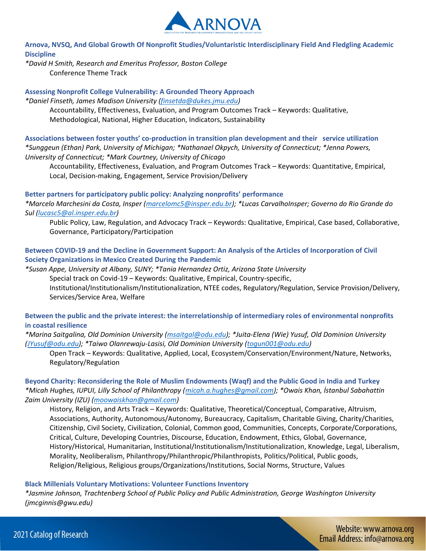

**Arnova, NVSQ, And Global Growth Of Nonprofit Studies/Voluntaristic Interdisciplinary Field And Fledgling Academic Discipline** 

*\*David H Smith, Research and Emeritus Professor, Boston College* Conference Theme Track

**Assessing Nonprofit College Vulnerability: A Grounded Theory Approach** 

*\*Daniel Finseth, James Madison University [\(finsetda@dukes.jmu.edu\)](mailto:finsetda@dukes.jmu.edu)* Accountability, Effectiveness, Evaluation, and Program Outcomes Track – Keywords: Qualitative, Methodological, National, Higher Education, Indicators, Sustainability

**Associations between foster youths' co-production in transition plan development and their service utilization**  *\*Sunggeun (Ethan) Park, University of Michigan; \*Nathanael Okpych, University of Connecticut; \*Jenna Powers, University of Connecticut; \*Mark Courtney, University of Chicago*

Accountability, Effectiveness, Evaluation, and Program Outcomes Track – Keywords: Quantitative, Empirical, Local, Decision-making, Engagement, Service Provision/Delivery

**Better partners for participatory public policy: Analyzing nonprofits' performance** 

*\*Marcelo Marchesini da Costa, Insper [\(marcelomc5@insper.edu.br\)](mailto:marcelomc5@insper.edu.br); \*Lucas CarvalhoInsper; Governo do Rio Grande do Sul [\(lucasc5@al.insper.edu.br\)](mailto:lucasc5@al.insper.edu.br)*

Public Policy, Law, Regulation, and Advocacy Track – Keywords: Qualitative, Empirical, Case based, Collaborative, Governance, Participatory/Participation

**Between COVID-19 and the Decline in Government Support: An Analysis of the Articles of Incorporation of Civil Society Organizations in Mexico Created During the Pandemic** 

*\*Susan Appe, University at Albany, SUNY; \*Tania Hernandez Ortiz, Arizona State University* Special track on Covid-19 – Keywords: Qualitative, Empirical, Country-specific, Institutional/Institutionalism/Institutionalization, NTEE codes, Regulatory/Regulation, Service Provision/Delivery, Services/Service Area, Welfare

**Between the public and the private interest: the interrelationship of intermediary roles of environmental nonprofits in coastal resilience** 

*\*Marina Saitgalina, Old Dominion University [\(msaitgal@odu.edu\)](mailto:msaitgal@odu.edu); \*Juita-Elena (Wie) Yusuf, Old Dominion University [\(JYusuf@odu.edu\)](mailto:JYusuf@odu.edu); \*Taiwo Olanrewaju-Lasisi, Old Dominion University [\(togun001@odu.edu\)](mailto:togun001@odu.edu)*

Open Track – Keywords: Qualitative, Applied, Local, Ecosystem/Conservation/Environment/Nature, Networks, Regulatory/Regulation

**Beyond Charity: Reconsidering the Role of Muslim Endowments (Waqf) and the Public Good in India and Turkey**  *\*Micah Hughes, IUPUI, Lilly School of Philanthropy [\(micah.a.hughes@gmail.com\)](mailto:micah.a.hughes@gmail.com); \*Owais Khan, İstanbul Sabahattin Zaim University (IZU) [\(moowaiskhan@gmail.com\)](mailto:moowaiskhan@gmail.com)*

History, Religion, and Arts Track – Keywords: Qualitative, Theoretical/Conceptual, Comparative, Altruism, Associations, Authority, Autonomous/Autonomy, Bureaucracy, Capitalism, Charitable Giving, Charity/Charities, Citizenship, Civil Society, Civilization, Colonial, Common good, Communities, Concepts, Corporate/Corporations, Critical, Culture, Developing Countries, Discourse, Education, Endowment, Ethics, Global, Governance, History/Historical, Humanitarian, Institutional/Institutionalism/Institutionalization, Knowledge, Legal, Liberalism, Morality, Neoliberalism, Philanthropy/Philanthropic/Philanthropists, Politics/Political, Public goods, Religion/Religious, Religious groups/Organizations/Institutions, Social Norms, Structure, Values

# **Black Millenials Voluntary Motivations: Volunteer Functions Inventory**

*\*Jasmine Johnson, Trachtenberg School of Public Policy and Public Administration, George Washington University (jmcginnis@gwu.edu)*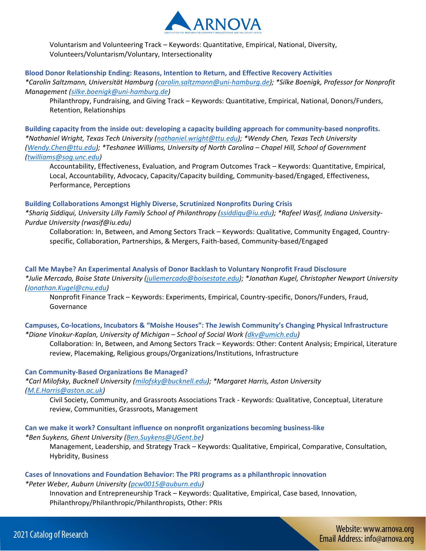

Voluntarism and Volunteering Track – Keywords: Quantitative, Empirical, National, Diversity, Volunteers/Voluntarism/Voluntary, Intersectionality

#### **Blood Donor Relationship Ending: Reasons, Intention to Return, and Effective Recovery Activities**

*\*Carolin Saltzmann, Universität Hamburg [\(carolin.saltzmann@uni-hamburg.de\)](mailto:carolin.saltzmann@uni-hamburg.de); \*Silke Boenigk, Professor for Nonprofit Management [\(silke.boenigk@uni-hamburg.de\)](mailto:silke.boenigk@uni-hamburg.de)*

Philanthropy, Fundraising, and Giving Track – Keywords: Quantitative, Empirical, National, Donors/Funders, Retention, Relationships

**Building capacity from the inside out: developing a capacity building approach for community-based nonprofits.**  *\*Nathaniel Wright, Texas Tech University [\(nathaniel.wright@ttu.edu\)](mailto:nathaniel.wright@ttu.edu); \*Wendy Chen, Texas Tech University [\(Wendy.Chen@ttu.edu\)](mailto:Wendy.Chen@ttu.edu); \*Teshanee Williams, University of North Carolina – Chapel Hill, School of Government [\(twilliams@sog.unc.edu\)](mailto:twilliams@sog.unc.edu)*

Accountability, Effectiveness, Evaluation, and Program Outcomes Track – Keywords: Quantitative, Empirical, Local, Accountability, Advocacy, Capacity/Capacity building, Community-based/Engaged, Effectiveness, Performance, Perceptions

# **Building Collaborations Amongst Highly Diverse, Scrutinized Nonprofits During Crisis**

*\*Shariq Siddiqui, University Lilly Family School of Philanthropy [\(ssiddiqu@iu.edu\)](mailto:ssiddiqu@iu.edu); \*Rafeel Wasif, Indiana University-Purdue University (rwasif@iu.edu)*

Collaboration: In, Between, and Among Sectors Track – Keywords: Qualitative, Community Engaged, Countryspecific, Collaboration, Partnerships, & Mergers, Faith-based, Community-based/Engaged

**Call Me Maybe? An Experimental Analysis of Donor Backlash to Voluntary Nonprofit Fraud Disclosure**  *\*Julie Mercado, Boise State University [\(juliemercado@boisestate.edu\)](mailto:juliemercado@boisestate.edu); \*Jonathan Kugel, Christopher Newport University [\(Jonathan.Kugel@cnu.edu\)](mailto:Jonathan.Kugel@cnu.edu)*

Nonprofit Finance Track – Keywords: Experiments, Empirical, Country-specific, Donors/Funders, Fraud, Governance

# **Campuses, Co-locations, Incubators & "Moishe Houses": The Jewish Community's Changing Physical Infrastructure**  *\*Diane Vinokur-Kaplan, University of Michigan – School of Social Work [\(dkv@umich.edu\)](mailto:dkv@umich.edu)*

Collaboration: In, Between, and Among Sectors Track – Keywords: Other: Content Analysis; Empirical, Literature review, Placemaking, Religious groups/Organizations/Institutions, Infrastructure

# **Can Community-Based Organizations Be Managed?**

*\*Carl Milofsky, Bucknell University [\(milofsky@bucknell.edu\)](mailto:milofsky@bucknell.edu); \*Margaret Harris, Aston University [\(M.E.Harris@aston.ac.uk\)](mailto:M.E.Harris@aston.ac.uk)*

Civil Society, Community, and Grassroots Associations Track - Keywords: Qualitative, Conceptual, Literature review, Communities, Grassroots, Management

# **Can we make it work? Consultant influence on nonprofit organizations becoming business-like**

*\*Ben Suykens, Ghent University [\(Ben.Suykens@UGent.be\)](mailto:Ben.Suykens@UGent.be)*

Management, Leadership, and Strategy Track – Keywords: Qualitative, Empirical, Comparative, Consultation, Hybridity, Business

#### **Cases of Innovations and Foundation Behavior: The PRI programs as a philanthropic innovation**  *\*Peter Weber, Auburn University [\(pcw0015@auburn.edu\)](mailto:pcw0015@auburn.edu)*

Innovation and Entrepreneurship Track – Keywords: Qualitative, Empirical, Case based, Innovation, Philanthropy/Philanthropic/Philanthropists, Other: PRIs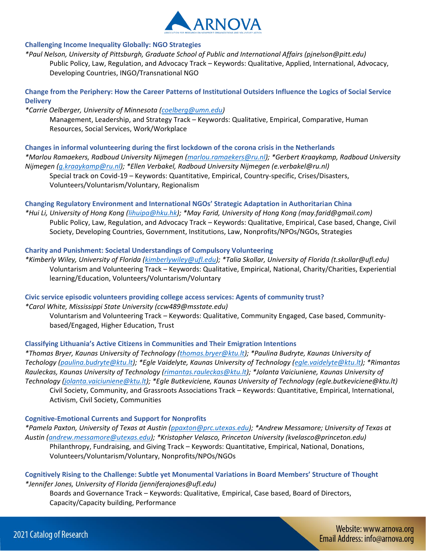

## **Challenging Income Inequality Globally: NGO Strategies**

*\*Paul Nelson, University of Pittsburgh, Graduate School of Public and International Affairs (pjnelson@pitt.edu)* Public Policy, Law, Regulation, and Advocacy Track – Keywords: Qualitative, Applied, International, Advocacy, Developing Countries, INGO/Transnational NGO

# **Change from the Periphery: How the Career Patterns of Institutional Outsiders Influence the Logics of Social Service Delivery**

#### *\*Carrie Oelberger, University of Minnesota [\(coelberg@umn.edu\)](mailto:coelberg@umn.edu)*

Management, Leadership, and Strategy Track – Keywords: Qualitative, Empirical, Comparative, Human Resources, Social Services, Work/Workplace

#### **Changes in informal volunteering during the first lockdown of the corona crisis in the Netherlands**

*\*Marlou Ramaekers, Radboud University Nijmegen [\(marlou.ramaekers@ru.nl\)](mailto:marlou.ramaekers@ru.nl); \*Gerbert Kraaykamp, Radboud University Nijmegen [\(g.kraaykamp@ru.nl\)](mailto:g.kraaykamp@ru.nl); \*Ellen Verbakel, Radboud University Nijmegen (e.verbakel@ru.nl)*

Special track on Covid-19 – Keywords: Quantitative, Empirical, Country-specific, Crises/Disasters, Volunteers/Voluntarism/Voluntary, Regionalism

# **Changing Regulatory Environment and International NGOs' Strategic Adaptation in Authoritarian China**

*\*Hui Li, University of Hong Kong [\(lihuipa@hku.hk\)](mailto:lihuipa@hku.hk); \*May Farid, University of Hong Kong (may.farid@gmail.com)* Public Policy, Law, Regulation, and Advocacy Track – Keywords: Qualitative, Empirical, Case based, Change, Civil Society, Developing Countries, Government, Institutions, Law, Nonprofits/NPOs/NGOs, Strategies

# **Charity and Punishment: Societal Understandings of Compulsory Volunteering**

*\*Kimberly Wiley, University of Florida [\(kimberlywiley@ufl.edu\)](mailto:kimberlywiley@ufl.edu); \*Talia Skollar, University of Florida (t.skollar@ufl.edu)* Voluntarism and Volunteering Track – Keywords: Qualitative, Empirical, National, Charity/Charities, Experiential learning/Education, Volunteers/Voluntarism/Voluntary

**Civic service episodic volunteers providing college access services: Agents of community trust?**  *\*Carol White, Mississippi State University (ccw489@msstate.edu)*

Voluntarism and Volunteering Track – Keywords: Qualitative, Community Engaged, Case based, Communitybased/Engaged, Higher Education, Trust

# **Classifying Lithuania's Active Citizens in Communities and Their Emigration Intentions**

*\*Thomas Bryer, Kaunas University of Technology [\(thomas.bryer@ktu.lt\)](mailto:thomas.bryer@ktu.lt); \*Paulina Budryte, Kaunas University of Techology [\(paulina.budryte@ktu.lt\)](mailto:paulina.budryte@ktu.lt); \*Egle Vaidelyte, Kaunas University of Technology [\(egle.vaidelyte@ktu.lt\)](mailto:egle.vaidelyte@ktu.lt); \*Rimantas Rauleckas, Kaunas University of Technology [\(rimantas.rauleckas@ktu.lt\)](mailto:rimantas.rauleckas@ktu.lt); \*Jolanta Vaiciuniene, Kaunas University of Technology [\(jolanta.vaiciuniene@ktu.lt\)](mailto:jolanta.vaiciuniene@ktu.lt); \*Egle Butkeviciene, Kaunas University of Technology (egle.butkeviciene@ktu.lt)* Civil Society, Community, and Grassroots Associations Track – Keywords: Quantitative, Empirical, International, Activism, Civil Society, Communities

# **Cognitive-Emotional Currents and Support for Nonprofits**

*\*Pamela Paxton, University of Texas at Austin [\(ppaxton@prc.utexas.edu\)](mailto:ppaxton@prc.utexas.edu); \*Andrew Messamore; University of Texas at Austin [\(andrew.messamore@utexas.edu\)](mailto:andrew.messamore@utexas.edu); \*Kristopher Velasco, Princeton University (kvelasco@princeton.edu)* Philanthropy, Fundraising, and Giving Track – Keywords: Quantitative, Empirical, National, Donations, Volunteers/Voluntarism/Voluntary, Nonprofits/NPOs/NGOs

**Cognitively Rising to the Challenge: Subtle yet Monumental Variations in Board Members' Structure of Thought**  *\*Jennifer Jones, University of Florida (jenniferajones@ufl.edu)*

Boards and Governance Track – Keywords: Qualitative, Empirical, Case based, Board of Directors, Capacity/Capacity building, Performance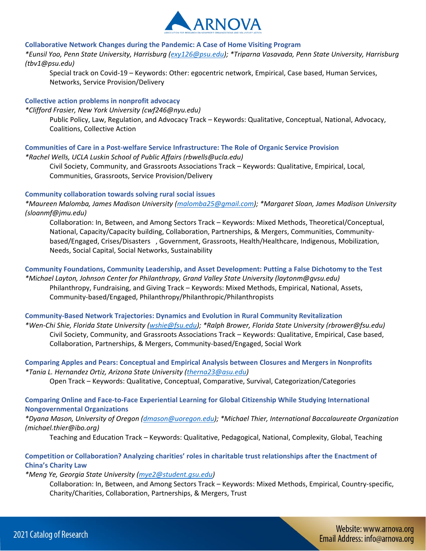

#### **Collaborative Network Changes during the Pandemic: A Case of Home Visiting Program**

*\*Eunsil Yoo, Penn State University, Harrisburg [\(exy126@psu.edu\)](mailto:exy126@psu.edu); \*Triparna Vasavada, Penn State University, Harrisburg (tbv1@psu.edu)*

Special track on Covid-19 – Keywords: Other: egocentric network, Empirical, Case based, Human Services, Networks, Service Provision/Delivery

#### **Collective action problems in nonprofit advocacy**

*\*Clifford Frasier, New York University (cwf246@nyu.edu)*

Public Policy, Law, Regulation, and Advocacy Track – Keywords: Qualitative, Conceptual, National, Advocacy, Coalitions, Collective Action

# **Communities of Care in a Post-welfare Service Infrastructure: The Role of Organic Service Provision**

*\*Rachel Wells, UCLA Luskin School of Public Affairs (rbwells@ucla.edu)*

Civil Society, Community, and Grassroots Associations Track – Keywords: Qualitative, Empirical, Local, Communities, Grassroots, Service Provision/Delivery

#### **Community collaboration towards solving rural social issues**

*\*Maureen Malomba, James Madison University [\(malomba25@gmail.com\)](mailto:malomba25@gmail.com); \*Margaret Sloan, James Madison University (sloanmf@jmu.edu)*

Collaboration: In, Between, and Among Sectors Track – Keywords: Mixed Methods, Theoretical/Conceptual, National, Capacity/Capacity building, Collaboration, Partnerships, & Mergers, Communities, Communitybased/Engaged, Crises/Disasters , Government, Grassroots, Health/Healthcare, Indigenous, Mobilization, Needs, Social Capital, Social Networks, Sustainability

# **Community Foundations, Community Leadership, and Asset Development: Putting a False Dichotomy to the Test**

*\*Michael Layton, Johnson Center for Philanthropy, Grand Valley State University (laytonm@gvsu.edu)* Philanthropy, Fundraising, and Giving Track – Keywords: Mixed Methods, Empirical, National, Assets, Community-based/Engaged, Philanthropy/Philanthropic/Philanthropists

#### **Community-Based Network Trajectories: Dynamics and Evolution in Rural Community Revitalization**

*\*Wen-Chi Shie, Florida State University [\(wshie@fsu.edu\)](mailto:wshie@fsu.edu); \*Ralph Brower, Florida State University (rbrower@fsu.edu)* Civil Society, Community, and Grassroots Associations Track – Keywords: Qualitative, Empirical, Case based, Collaboration, Partnerships, & Mergers, Community-based/Engaged, Social Work

# **Comparing Apples and Pears: Conceptual and Empirical Analysis between Closures and Mergers in Nonprofits**  *\*Tania L. Hernandez Ortiz, Arizona State University [\(therna23@asu.edu\)](mailto:therna23@asu.edu)*

Open Track – Keywords: Qualitative, Conceptual, Comparative, Survival, Categorization/Categories

# **Comparing Online and Face-to-Face Experiential Learning for Global Citizenship While Studying International Nongovernmental Organizations**

*\*Dyana Mason, University of Oregon [\(dmason@uoregon.edu\)](mailto:dmason@uoregon.edu); \*Michael Thier, International Baccalaureate Organization (michael.thier@ibo.org)*

Teaching and Education Track – Keywords: Qualitative, Pedagogical, National, Complexity, Global, Teaching

# **Competition or Collaboration? Analyzing charities' roles in charitable trust relationships after the Enactment of China's Charity Law**

*\*Meng Ye, Georgia State University [\(mye2@student.gsu.edu\)](mailto:mye2@student.gsu.edu)*

Collaboration: In, Between, and Among Sectors Track – Keywords: Mixed Methods, Empirical, Country-specific, Charity/Charities, Collaboration, Partnerships, & Mergers, Trust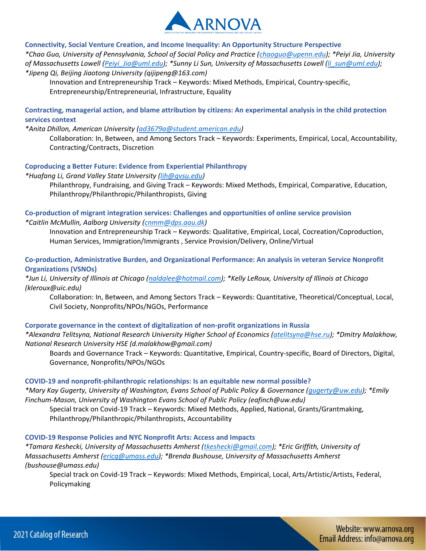

**Connectivity, Social Venture Creation, and Income Inequality: An Opportunity Structure Perspective** 

*\*Chao Guo, University of Pennsylvania, School of Social Policy and Practice [\(chaoguo@upenn.edu\)](mailto:chaoguo@upenn.edu); \*Peiyi Jia, University of Massachusetts Lowell [\(Peiyi\\_Jia@uml.edu\)](mailto:Peiyi_Jia@uml.edu); \*Sunny Li Sun, University of Massachusetts Lowell [\(li\\_sun@uml.edu\)](mailto:li_sun@uml.edu); \*Jipeng Qi, Beijing Jiaotong University (qijipeng@163.com)*

Innovation and Entrepreneurship Track – Keywords: Mixed Methods, Empirical, Country-specific, Entrepreneurship/Entrepreneurial, Infrastructure, Equality

# **Contracting, managerial action, and blame attribution by citizens: An experimental analysis in the child protection services context**

*\*Anita Dhillon, American University [\(ad3679a@student.american.edu\)](mailto:ad3679a@student.american.edu)*

Collaboration: In, Between, and Among Sectors Track – Keywords: Experiments, Empirical, Local, Accountability, Contracting/Contracts, Discretion

# **Coproducing a Better Future: Evidence from Experiential Philanthropy**

*\*Huafang Li, Grand Valley State University [\(lih@gvsu.edu\)](mailto:lih@gvsu.edu)*

Philanthropy, Fundraising, and Giving Track – Keywords: Mixed Methods, Empirical, Comparative, Education, Philanthropy/Philanthropic/Philanthropists, Giving

# **Co-production of migrant integration services: Challenges and opportunities of online service provision**  *\*Caitlin McMullin, Aalborg University [\(cnmm@dps.aau.dk\)](mailto:cnmm@dps.aau.dk)*

Innovation and Entrepreneurship Track – Keywords: Qualitative, Empirical, Local, Cocreation/Coproduction, Human Services, Immigration/Immigrants , Service Provision/Delivery, Online/Virtual

# **Co-production, Administrative Burden, and Organizational Performance: An analysis in veteran Service Nonprofit Organizations (VSNOs)**

*\*Jun Li, University of Illinois at Chicago [\(naldalee@hotmail.com\)](mailto:naldalee@hotmail.com); \*Kelly LeRoux, University of Illinois at Chicago (kleroux@uic.edu)*

Collaboration: In, Between, and Among Sectors Track – Keywords: Quantitative, Theoretical/Conceptual, Local, Civil Society, Nonprofits/NPOs/NGOs, Performance

# **Corporate governance in the context of digitalization of non-profit organizations in Russia**

*\*Alexandra Telitsyna, National Research University Higher School of Economics [\(atelitsyna@hse.ru\)](mailto:atelitsyna@hse.ru); \*Dmitry Malakhow, National Research University HSE (d.malakhow@gmail.com)*

Boards and Governance Track – Keywords: Quantitative, Empirical, Country-specific, Board of Directors, Digital, Governance, Nonprofits/NPOs/NGOs

# **COVID-19 and nonprofit-philanthropic relationships: Is an equitable new normal possible?**

*\*Mary Kay Gugerty, University of Washington, Evans School of Public Policy & Governance [\(gugerty@uw.edu\)](mailto:gugerty@uw.edu); \*Emily Finchum-Mason, University of Washington Evans School of Public Policy (eafinch@uw.edu)*

Special track on Covid-19 Track – Keywords: Mixed Methods, Applied, National, Grants/Grantmaking, Philanthropy/Philanthropic/Philanthropists, Accountability

# **COVID-19 Response Policies and NYC Nonprofit Arts: Access and Impacts**

*\*Tamara Keshecki, University of Massachusetts Amherst [\(tkeshecki@gmail.com\)](mailto:tkeshecki@gmail.com); \*Eric Griffith, University of Massachusetts Amherst [\(ericg@umass.edu\)](mailto:ericg@umass.edu); \*Brenda Bushouse, University of Massachusetts Amherst (bushouse@umass.edu)*

Special track on Covid-19 Track – Keywords: Mixed Methods, Empirical, Local, Arts/Artistic/Artists, Federal, Policymaking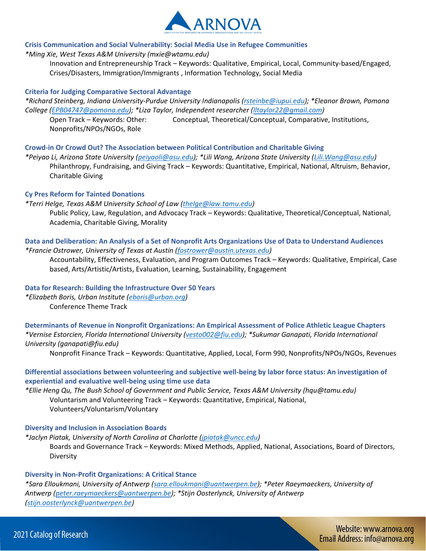

# **Crisis Communication and Social Vulnerability: Social Media Use in Refugee Communities**

*\*Ming Xie, West Texas A&M University (mxie@wtamu.edu)*

Innovation and Entrepreneurship Track – Keywords: Qualitative, Empirical, Local, Community-based/Engaged, Crises/Disasters, Immigration/Immigrants , Information Technology, Social Media

#### **Criteria for Judging Comparative Sectoral Advantage**

*\*Richard Steinberg, Indiana University-Purdue University Indianapolis [\(rsteinbe@iupui.edu\)](mailto:rsteinbe@iupui.edu); \*Eleanor Brown, Pomona College [\(EPB04747@pomona.edu\)](mailto:EPB04747@pomona.edu); \*Liza Taylor, Independent researcher [\(lltaylor22@gmail.com\)](mailto:lltaylor22@gmail.com)*

Open Track – Keywords: Other: Conceptual, Theoretical/Conceptual, Comparative, Institutions, Nonprofits/NPOs/NGOs, Role

#### **Crowd-in Or Crowd Out? The Association between Political Contribution and Charitable Giving**

*\*Peiyao Li, Arizona State University [\(peiyaoli@asu.edu\)](mailto:peiyaoli@asu.edu); \*Lili Wang, Arizona State University [\(Lili.Wang@asu.edu\)](mailto:Lili.Wang@asu.edu)* Philanthropy, Fundraising, and Giving Track – Keywords: Quantitative, Empirical, National, Altruism, Behavior, Charitable Giving

#### **Cy Pres Reform for Tainted Donations**

#### *\*Terri Helge, Texas A&M University School of Law [\(thelge@law.tamu.edu\)](mailto:thelge@law.tamu.edu)*

Public Policy, Law, Regulation, and Advocacy Track – Keywords: Qualitative, Theoretical/Conceptual, National, Academia, Charitable Giving, Morality

## **Data and Deliberation: An Analysis of a Set of Nonprofit Arts Organizations Use of Data to Understand Audiences**  *\*Francie Ostrower, University of Texas at Austin [\(fostrower@austin.utexas.edu\)](mailto:fostrower@austin.utexas.edu)*

Accountability, Effectiveness, Evaluation, and Program Outcomes Track – Keywords: Qualitative, Empirical, Case based, Arts/Artistic/Artists, Evaluation, Learning, Sustainability, Engagement

# **Data for Research: Building the Infrastructure Over 50 Years**

*\*Elizabeth Boris, Urban Institute [\(eboris@urban.org\)](mailto:eboris@urban.org)* 

Conference Theme Track

**Determinants of Revenue in Nonprofit Organizations: An Empirical Assessment of Police Athletic League Chapters**  *\*Vernise Estorcien, Florida International University [\(vesto002@fiu.edu\)](mailto:vesto002@fiu.edu); \*Sukumar Ganapati, Florida International University (ganapati@fiu.edu)*

Nonprofit Finance Track – Keywords: Quantitative, Applied, Local, Form 990, Nonprofits/NPOs/NGOs, Revenues

# **Differential associations between volunteering and subjective well-being by labor force status: An investigation of experiential and evaluative well-being using time use data**

*\*Ellie Heng Qu, The Bush School of Government and Public Service, Texas A&M University (hqu@tamu.edu)* Voluntarism and Volunteering Track – Keywords: Quantitative, Empirical, National, Volunteers/Voluntarism/Voluntary

#### **Diversity and Inclusion in Association Boards**

*\*Jaclyn Piatak, University of North Carolina at Charlotte [\(jpiatak@uncc.edu\)](mailto:jpiatak@uncc.edu)* Boards and Governance Track – Keywords: Mixed Methods, Applied, National, Associations, Board of Directors, Diversity

#### **Diversity in Non-Profit Organizations: A Critical Stance**

*\*Sara Elloukmani, University of Antwerp [\(sara.elloukmani@uantwerpen.be\)](mailto:sara.elloukmani@uantwerpen.be); \*Peter Raeymaeckers, University of Antwerp [\(peter.raeymaeckers@uantwerpen.be\)](mailto:peter.raeymaeckers@uantwerpen.be); \*Stijn Oosterlynck, University of Antwerp [\(stijn.oosterlynck@uantwerpen.be\)](mailto:stijn.oosterlynck@uantwerpen.be)*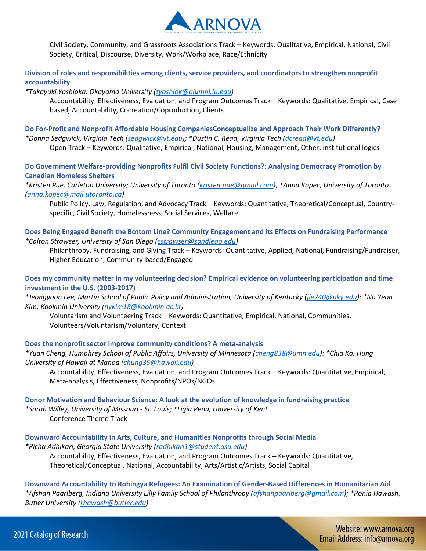

Civil Society, Community, and Grassroots Associations Track – Keywords: Qualitative, Empirical, National, Civil Society, Critical, Discourse, Diversity, Work/Workplace, Race/Ethnicity

**Division of roles and responsibilities among clients, service providers, and coordinators to strengthen nonprofit accountability** 

*\*Takayuki Yoshioka, Okayama University [\(tyoshiok@alumni.iu.edu\)](mailto:tyoshiok@alumni.iu.edu)*

Accountability, Effectiveness, Evaluation, and Program Outcomes Track – Keywords: Qualitative, Empirical, Case based, Accountability, Cocreation/Coproduction, Clients

**Do For-Profit and Nonprofit Affordable Housing CompaniesConceptualize and Approach Their Work Differently?**  *\*Donna Sedgwick, Virginia Tech [\(sedgwick@vt.edu\)](mailto:sedgwick@vt.edu); \*Dustin C. Read, Virginia Tech [\(dcread@vt.edu\)](mailto:dcread@vt.edu)*

Open Track – Keywords: Qualitative, Empirical, National, Housing, Management, Other: institutional logics

**Do Government Welfare-providing Nonprofits Fulfil Civil Society Functions?: Analysing Democracy Promotion by Canadian Homeless Shelters** 

*\*Kristen Pue, Carleton University; University of Toronto [\(kristen.pue@gmail.com\)](mailto:kristen.pue@gmail.com); \*Anna Kopec, University of Toronto [\(anna.kopec@mail.utoronto.ca\)](mailto:anna.kopec@mail.utoronto.ca)*

Public Policy, Law, Regulation, and Advocacy Track – Keywords: Quantitative, Theoretical/Conceptual, Countryspecific, Civil Society, Homelessness, Social Services, Welfare

**Does Being Engaged Benefit the Bottom Line? Community Engagement and its Effects on Fundraising Performance**  *\*Colton Strawser, University of San Diego [\(cstrawser@sandiego.edu\)](mailto:cstrawser@sandiego.edu)*

Philanthropy, Fundraising, and Giving Track – Keywords: Quantitative, Applied, National, Fundraising/Fundraiser, Higher Education, Community-based/Engaged

**Does my community matter in my volunteering decision? Empirical evidence on volunteering participation and time investment in the U.S. (2003-2017)** 

*\*Jeongyoon Lee, Martin School of Public Policy and Administration, University of Kentucky [\(jle240@uky.edu\)](mailto:jle240@uky.edu); \*Na Yeon Kim; Kookmin University [\(nykim18@kookmin.ac.kr\)](mailto:nykim18@kookmin.ac.kr)*

Voluntarism and Volunteering Track – Keywords: Quantitative, Empirical, National, Communities, Volunteers/Voluntarism/Voluntary, Context

**Does the nonprofit sector improve community conditions? A meta-analysis** 

*\*Yuan Cheng, Humphrey School of Public Affairs, University of Minnesota [\(cheng838@umn.edu\)](mailto:cheng838@umn.edu); \*Chia Ko, Hung University of Hawaii at Manoa [\(chung35@hawaii.edu\)](mailto:chung35@hawaii.edu)*

Accountability, Effectiveness, Evaluation, and Program Outcomes Track – Keywords: Quantitative, Empirical, Meta-analysis, Effectiveness, Nonprofits/NPOs/NGOs

**Donor Motivation and Behaviour Science: A look at the evolution of knowledge in fundraising practice**  *\*Sarah Willey, University of Missouri - St. Louis; \*Ligia Pena, University of Kent* Conference Theme Track

**Downward Accountability in Arts, Culture, and Humanities Nonprofits through Social Media**  *\*Richa Adhikari, Georgia State University [\(radhikari1@student.gsu.edu\)](mailto:radhikari1@student.gsu.edu)* Accountability, Effectiveness, Evaluation, and Program Outcomes Track – Keywords: Quantitative, Theoretical/Conceptual, National, Accountability, Arts/Artistic/Artists, Social Capital

**Downward Accountability to Rohingya Refugees: An Examination of Gender-Based Differences in Humanitarian Aid**  *\*Afshan Paarlberg, Indiana University Lilly Family School of Philanthropy [\(afshanpaarlberg@gmail.com\)](mailto:afshanpaarlberg@gmail.com); \*Ronia Hawash, Butler University [\(rhawash@butler.edu\)](mailto:rhawash@butler.edu)*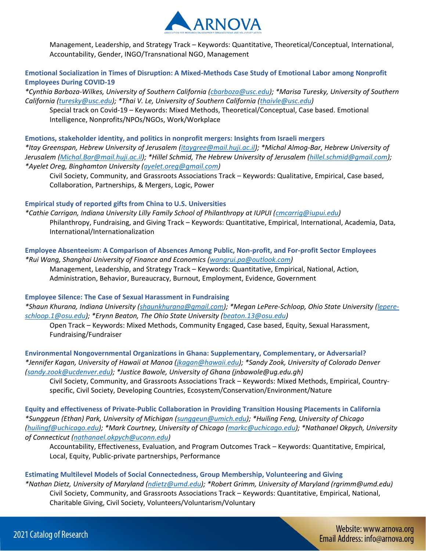

Management, Leadership, and Strategy Track – Keywords: Quantitative, Theoretical/Conceptual, International, Accountability, Gender, INGO/Transnational NGO, Management

**Emotional Socialization in Times of Disruption: A Mixed-Methods Case Study of Emotional Labor among Nonprofit Employees During COVID-19** 

*\*Cynthia Barboza-Wilkes, University of Southern California [\(cbarboza@usc.edu\)](mailto:cbarboza@usc.edu); \*Marisa Turesky, University of Southern California [\(turesky@usc.edu\)](mailto:turesky@usc.edu); \*Thai V. Le, University of Southern California [\(thaivle@usc.edu\)](mailto:thaivle@usc.edu)*

Special track on Covid-19 – Keywords: Mixed Methods, Theoretical/Conceptual, Case based. Emotional Intelligence, Nonprofits/NPOs/NGOs, Work/Workplace

**Emotions, stakeholder identity, and politics in nonprofit mergers: Insights from Israeli mergers**  *\*Itay Greenspan, Hebrew University of Jerusalem [\(itaygree@mail.huji.ac.il\)](mailto:itaygree@mail.huji.ac.il); \*Michal Almog-Bar, Hebrew University of Jerusalem [\(Michal.Bar@mail.huji.ac.il\)](mailto:Michal.Bar@mail.huji.ac.il); \*Hillel Schmid, The Hebrew University of Jerusalem [\(hillel.schmid@gmail.com\)](mailto:hillel.schmid@gmail.com); \*Ayelet Oreg, Binghamton University [\(ayelet.oreg@gmail.com\)](mailto:ayelet.oreg@gmail.com)*

Civil Society, Community, and Grassroots Associations Track – Keywords: Qualitative, Empirical, Case based, Collaboration, Partnerships, & Mergers, Logic, Power

#### **Empirical study of reported gifts from China to U.S. Universities**

*\*Cathie Carrigan, Indiana University Lilly Family School of Philanthropy at IUPUI [\(cmcarrig@iupui.edu\)](mailto:cmcarrig@iupui.edu)* Philanthropy, Fundraising, and Giving Track – Keywords: Quantitative, Empirical, International, Academia, Data, International/Internationalization

**Employee Absenteeism: A Comparison of Absences Among Public, Non-profit, and For-profit Sector Employees**  *\*Rui Wang, Shanghai University of Finance and Economics [\(wangrui.pa@outlook.com\)](mailto:wangrui.pa@outlook.com)*

Management, Leadership, and Strategy Track – Keywords: Quantitative, Empirical, National, Action, Administration, Behavior, Bureaucracy, Burnout, Employment, Evidence, Government

# **Employee Silence: The Case of Sexual Harassment in Fundraising**

*\*Shaun Khurana, Indiana University [\(shaunkhurana@gmail.com\)](mailto:shaunkhurana@gmail.com); \*Megan LePere-Schloop, Ohio State University [\(lepere](mailto:lepere-schloop.1@osu.edu)[schloop.1@osu.edu\)](mailto:lepere-schloop.1@osu.edu); \*Erynn Beaton, The Ohio State University [\(beaton.13@osu.edu\)](mailto:beaton.13@osu.edu)*

Open Track – Keywords: Mixed Methods, Community Engaged, Case based, Equity, Sexual Harassment, Fundraising/Fundraiser

**Environmental Nongovernmental Organizations in Ghana: Supplementary, Complementary, or Adversarial?**  *\*Jennifer Kagan, University of Hawaii at Manoa [\(jkagan@hawaii.edu\)](mailto:jkagan@hawaii.edu); \*Sandy Zook, University of Colorado Denver [\(sandy.zook@ucdenver.edu\)](mailto:sandy.zook@ucdenver.edu); \*Justice Bawole, University of Ghana (jnbawole@ug.edu.gh)*

Civil Society, Community, and Grassroots Associations Track – Keywords: Mixed Methods, Empirical, Countryspecific, Civil Society, Developing Countries, Ecosystem/Conservation/Environment/Nature

**Equity and effectiveness of Private-Public Collaboration in Providing Transition Housing Placements in California**  *\*Sunggeun (Ethan) Park, University of Michigan [\(sunggeun@umich.edu\)](mailto:sunggeun@umich.edu); \*Huiling Feng, University of Chicago [\(huilingf@uchicago.edu\)](mailto:huilingf@uchicago.edu); \*Mark Courtney, University of Chicago [\(markc@uchicago.edu\)](mailto:markc@uchicago.edu); \*Nathanael Okpych, University of Connecticut [\(nathanael.okpych@uconn.edu\)](mailto:nathanael.okpych@uconn.edu)*

Accountability, Effectiveness, Evaluation, and Program Outcomes Track – Keywords: Quantitative, Empirical, Local, Equity, Public-private partnerships, Performance

**Estimating Multilevel Models of Social Connectedness, Group Membership, Volunteering and Giving**  *\*Nathan Dietz, University of Maryland [\(ndietz@umd.edu\)](mailto:ndietz@umd.edu); \*Robert Grimm, University of Maryland (rgrimm@umd.edu)* Civil Society, Community, and Grassroots Associations Track – Keywords: Quantitative, Empirical, National, Charitable Giving, Civil Society, Volunteers/Voluntarism/Voluntary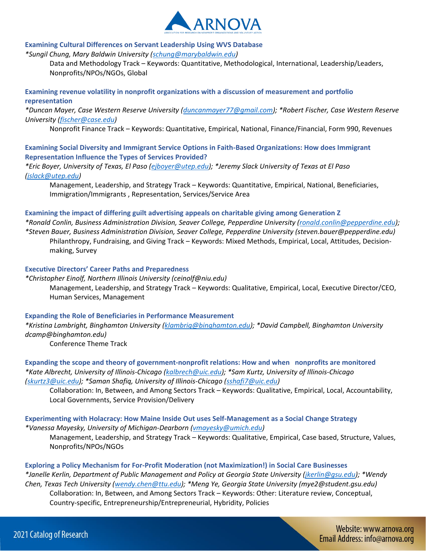

#### **Examining Cultural Differences on Servant Leadership Using WVS Database**

*\*Sungil Chung, Mary Baldwin University [\(schung@marybaldwin.edu\)](mailto:schung@marybaldwin.edu)*

Data and Methodology Track – Keywords: Quantitative, Methodological, International, Leadership/Leaders, Nonprofits/NPOs/NGOs, Global

**Examining revenue volatility in nonprofit organizations with a discussion of measurement and portfolio representation** 

*\*Duncan Mayer, Case Western Reserve University [\(duncanmayer77@gmail.com\)](mailto:duncanmayer77@gmail.com); \*Robert Fischer, Case Western Reserve University [\(fischer@case.edu\)](mailto:fischer@case.edu)*

Nonprofit Finance Track – Keywords: Quantitative, Empirical, National, Finance/Financial, Form 990, Revenues

**Examining Social Diversity and Immigrant Service Options in Faith-Based Organizations: How does Immigrant Representation Influence the Types of Services Provided?** 

*\*Eric Boyer, University of Texas, El Paso [\(ejboyer@utep.edu\)](mailto:ejboyer@utep.edu); \*Jeremy Slack University of Texas at El Paso [\(jslack@utep.edu\)](mailto:jslack@utep.edu)*

Management, Leadership, and Strategy Track – Keywords: Quantitative, Empirical, National, Beneficiaries, Immigration/Immigrants , Representation, Services/Service Area

#### **Examining the impact of differing guilt advertising appeals on charitable giving among Generation Z**

*\*Ronald Conlin, Business Administration Division, Seaver College, Pepperdine University [\(ronald.conlin@pepperdine.edu\)](mailto:ronald.conlin@pepperdine.edu); \*Steven Bauer, Business Administration Division, Seaver College, Pepperdine University (steven.bauer@pepperdine.edu)* Philanthropy, Fundraising, and Giving Track – Keywords: Mixed Methods, Empirical, Local, Attitudes, Decisionmaking, Survey

#### **Executive Directors' Career Paths and Preparedness**

*\*Christopher Einolf, Northern Illinois University (ceinolf@niu.edu)* Management, Leadership, and Strategy Track – Keywords: Qualitative, Empirical, Local, Executive Director/CEO, Human Services, Management

#### **Expanding the Role of Beneficiaries in Performance Measurement**

*\*Kristina Lambright, Binghamton University [\(klambrig@binghamton.edu\)](mailto:klambrig@binghamton.edu); \*David Campbell, Binghamton University dcamp@binghamton.edu)*

Conference Theme Track

**Expanding the scope and theory of government-nonprofit relations: How and when nonprofits are monitored**  *\*Kate Albrecht, University of Illinois-Chicago [\(kalbrech@uic.edu\)](mailto:kalbrech@uic.edu); \*Sam Kurtz, University of Illinois-Chicago [\(skurtz3@uic.edu\)](mailto:skurtz3@uic.edu); \*Saman Shafiq, University of Illinois-Chicago [\(sshafi7@uic.edu\)](mailto:sshafi7@uic.edu)*

Collaboration: In, Between, and Among Sectors Track – Keywords: Qualitative, Empirical, Local, Accountability, Local Governments, Service Provision/Delivery

**Experimenting with Holacracy: How Maine Inside Out uses Self-Management as a Social Change Strategy**  *\*Vanessa Mayesky, University of Michigan-Dearborn [\(vmayesky@umich.edu\)](mailto:vmayesky@umich.edu)*

Management, Leadership, and Strategy Track – Keywords: Qualitative, Empirical, Case based, Structure, Values, Nonprofits/NPOs/NGOs

**Exploring a Policy Mechanism for For-Profit Moderation (not Maximization!) in Social Care Businesses**  *\*Janelle Kerlin, Department of Public Management and Policy at Georgia State University [\(jkerlin@gsu.edu\)](mailto:jkerlin@gsu.edu); \*Wendy Chen, Texas Tech University [\(wendy.chen@ttu.edu\)](mailto:wendy.chen@ttu.edu); \*Meng Ye, Georgia State University (mye2@student.gsu.edu)* Collaboration: In, Between, and Among Sectors Track – Keywords: Other: Literature review, Conceptual, Country-specific, Entrepreneurship/Entrepreneurial, Hybridity, Policies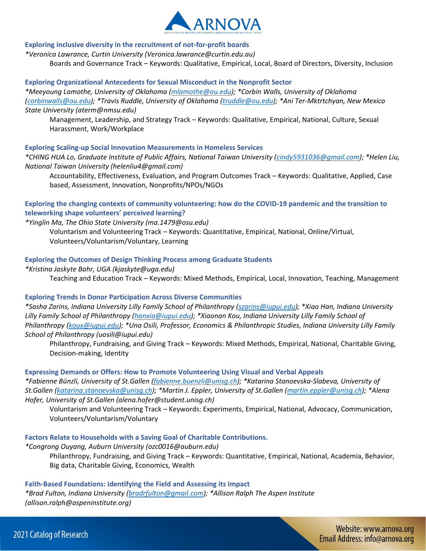

# **Exploring inclusive diversity in the recruitment of not-for-profit boards**

*\*Veronica Lawrance, Curtin University (Veronica.lawrance@curtin.edu.au)*

Boards and Governance Track – Keywords: Qualitative, Empirical, Local, Board of Directors, Diversity, Inclusion

#### **Exploring Organizational Antecedents for Sexual Misconduct in the Nonprofit Sector**

*\*Meeyoung Lamothe, University of Oklahoma [\(mlamothe@ou.edu\)](mailto:mlamothe@ou.edu); \*Corbin Walls, University of Oklahoma [\(corbinwalls@ou.edu\)](mailto:corbinwalls@ou.edu); \*Travis Ruddle, University of Oklahoma [\(truddle@ou.edu\)](mailto:truddle@ou.edu); \*Ani Ter-Mktrtchyan, New Mexico State University (aterm@nmsu.edu)*

Management, Leadership, and Strategy Track – Keywords: Qualitative, Empirical, National, Culture, Sexual Harassment, Work/Workplace

#### **Exploring Scaling-up Social Innovation Measurements in Homeless Services**

*\*CHING HUA Lo, Graduate Institute of Public Affairs, National Taiwan University [\(cindy5931036@gmail.com\)](mailto:cindy5931036@gmail.com); \*Helen Liu, National Taiwan University (helenliu4@gmail.com)*

Accountability, Effectiveness, Evaluation, and Program Outcomes Track – Keywords: Qualitative, Applied, Case based, Assessment, Innovation, Nonprofits/NPOs/NGOs

# **Exploring the changing contexts of community volunteering: how do the COVID-19 pandemic and the transition to teleworking shape volunteers' perceived learning?**

*\*Yinglin Ma, The Ohio State University (ma.1479@osu.edu)*

Voluntarism and Volunteering Track – Keywords: Quantitative, Empirical, National, Online/Virtual, Volunteers/Voluntarism/Voluntary, Learning

#### **Exploring the Outcomes of Design Thinking Process among Graduate Students**

*\*Kristina Jaskyte Bahr, UGA (kjaskyte@uga.edu)*

Teaching and Education Track – Keywords: Mixed Methods, Empirical, Local, Innovation, Teaching, Management

# **Exploring Trends in Donor Participation Across Diverse Communities**

*\*Sasha Zarins, Indiana University Lilly Family School of Philanthropy [\(szarins@iupui.edu\)](mailto:szarins@iupui.edu); \*Xiao Han, Indiana University Lilly Family School of Philanthropy [\(hanxia@iupui.edu\)](mailto:hanxia@iupui.edu); \*Xiaonan Kou, Indiana University Lilly Family School of Philanthropy [\(koux@iupui.edu\)](mailto:koux@iupui.edu); \*Una Osili, Professor, Economics & Philanthropic Studies, Indiana University Lilly Family School of Philanthropy (uosili@iupui.edu)*

Philanthropy, Fundraising, and Giving Track – Keywords: Mixed Methods, Empirical, National, Charitable Giving, Decision-making, Identity

#### **Expressing Demands or Offers: How to Promote Volunteering Using Visual and Verbal Appeals**

*\*Fabienne Bünzli, University of St.Gallen [\(fabienne.buenzli@unisg.ch\)](mailto:fabienne.buenzli@unisg.ch); \*Katarina Stanoevska-Slabeva, University of St.Gallen [\(katarina.stanoevska@unisg.ch\)](mailto:katarina.stanoevska@unisg.ch); \*Martin J. Eppler, University of St.Gallen [\(martin.eppler@unisg.ch\)](mailto:martin.eppler@unisg.ch); \*Alena Hofer, University of St.Gallen (alena.hofer@student.unisg.ch)*

Voluntarism and Volunteering Track – Keywords: Experiments, Empirical, National, Advocacy, Communication, Volunteers/Voluntarism/Voluntary

**Factors Relate to Households with a Saving Goal of Charitable Contributions.** 

*\*Congrong Ouyang, Auburn University (ozc0016@auburn.edu)* Philanthropy, Fundraising, and Giving Track – Keywords: Quantitative, Empirical, National, Academia, Behavior, Big data, Charitable Giving, Economics, Wealth

#### **Faith-Based Foundations: Identifying the Field and Assessing its Impact**

*\*Brad Fulton, Indiana University [\(bradrfulton@gmail.com\)](mailto:bradrfulton@gmail.com); \*Allison Ralph The Aspen Institute (allison.ralph@aspeninstitute.org)*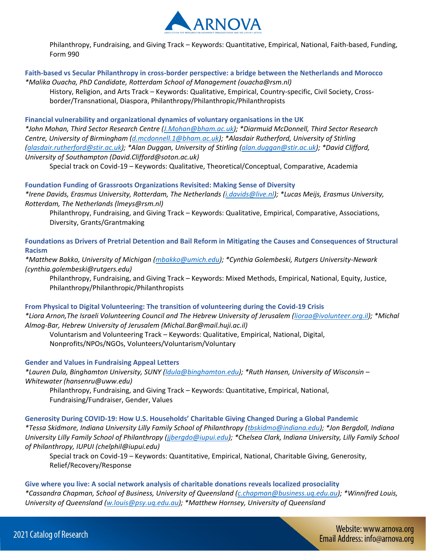

Philanthropy, Fundraising, and Giving Track – Keywords: Quantitative, Empirical, National, Faith-based, Funding, Form 990

**Faith-based vs Secular Philanthropy in cross-border perspective: a bridge between the Netherlands and Morocco**  *\*Malika Ouacha, PhD Candidate, Rotterdam School of Management (ouacha@rsm.nl)*

History, Religion, and Arts Track – Keywords: Qualitative, Empirical, Country-specific, Civil Society, Crossborder/Transnational, Diaspora, Philanthropy/Philanthropic/Philanthropists

**Financial vulnerability and organizational dynamics of voluntary organisations in the UK**  *\*John Mohan, Third Sector Research Centre [\(J.Mohan@bham.ac.uk\)](mailto:J.Mohan@bham.ac.uk); \*Diarmuid McDonnell, Third Sector Research Centre, University of Birmingham [\(d.mcdonnell.1@bham.ac.uk\)](mailto:d.mcdonnell.1@bham.ac.uk); \*Alasdair Rutherford, University of Stirling [\(alasdair.rutherford@stir.ac.uk\)](mailto:alasdair.rutherford@stir.ac.uk); \*Alan Duggan, University of Stirling [\(alan.duggan@stir.ac.uk\)](mailto:alan.duggan@stir.ac.uk); \*David Clifford, University of Southampton (David.Clifford@soton.ac.uk)*

Special track on Covid-19 – Keywords: Qualitative, Theoretical/Conceptual, Comparative, Academia

#### **Foundation Funding of Grassroots Organizations Revisited: Making Sense of Diversity**

*\*Irene Davids, Erasmus University, Rotterdam, The Netherlands [\(i.davids@live.nl\)](mailto:i.davids@live.nl); \*Lucas Meijs, Erasmus University, Rotterdam, The Netherlands (lmeys@rsm.nl)*

Philanthropy, Fundraising, and Giving Track – Keywords: Qualitative, Empirical, Comparative, Associations, Diversity, Grants/Grantmaking

**Foundations as Drivers of Pretrial Detention and Bail Reform in Mitigating the Causes and Consequences of Structural Racism** 

*\*Matthew Bakko, University of Michigan [\(mbakko@umich.edu\)](mailto:mbakko@umich.edu); \*Cynthia Golembeski, Rutgers University-Newark (cynthia.golembeski@rutgers.edu)*

Philanthropy, Fundraising, and Giving Track – Keywords: Mixed Methods, Empirical, National, Equity, Justice, Philanthropy/Philanthropic/Philanthropists

#### **From Physical to Digital Volunteering: The transition of volunteering during the Covid-19 Crisis**

*\*Liora Arnon,The Israeli Volunteering Council and The Hebrew University of Jerusalem [\(lioraa@ivolunteer.org.il\)](mailto:lioraa@ivolunteer.org.il); \*Michal Almog-Bar, Hebrew University of Jerusalem (Michal.Bar@mail.huji.ac.il)*

Voluntarism and Volunteering Track – Keywords: Qualitative, Empirical, National, Digital,

Nonprofits/NPOs/NGOs, Volunteers/Voluntarism/Voluntary

# **Gender and Values in Fundraising Appeal Letters**

*\*Lauren Dula, Binghamton University, SUNY [\(ldula@binghamton.edu\)](mailto:ldula@binghamton.edu); \*Ruth Hansen, University of Wisconsin – Whitewater (hansenru@uww.edu)*

Philanthropy, Fundraising, and Giving Track – Keywords: Quantitative, Empirical, National, Fundraising/Fundraiser, Gender, Values

**Generosity During COVID-19: How U.S. Households' Charitable Giving Changed During a Global Pandemic** 

*\*Tessa Skidmore, Indiana University Lilly Family School of Philanthropy [\(tbskidmo@indiana.edu\)](mailto:tbskidmo@indiana.edu); \*Jon Bergdoll, Indiana University Lilly Family School of Philanthropy [\(jjbergdo@iupui.edu\)](mailto:jjbergdo@iupui.edu); \*Chelsea Clark, Indiana University, Lilly Family School of Philanthropy, IUPUI (chelphil@iupui.edu)*

Special track on Covid-19 – Keywords: Quantitative, Empirical, National, Charitable Giving, Generosity, Relief/Recovery/Response

**Give where you live: A social network analysis of charitable donations reveals localized prosociality**  *\*Cassandra Chapman, School of Business, University of Queensland [\(c.chapman@business.uq.edu.au\)](mailto:c.chapman@business.uq.edu.au); \*Winnifred Louis, University of Queensland [\(w.louis@psy.uq.edu.au\)](mailto:w.louis@psy.uq.edu.au); \*Matthew Hornsey, University of Queensland*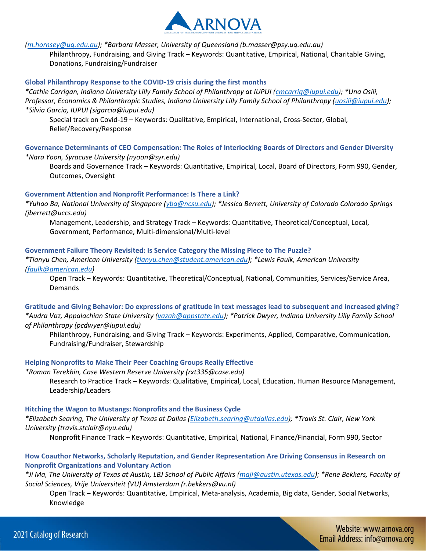

*[\(m.hornsey@uq.edu.au\)](mailto:m.hornsey@uq.edu.au); \*Barbara Masser, University of Queensland (b.masser@psy.uq.edu.au)*

Philanthropy, Fundraising, and Giving Track – Keywords: Quantitative, Empirical, National, Charitable Giving, Donations, Fundraising/Fundraiser

#### **Global Philanthropy Response to the COVID-19 crisis during the first months**

*\*Cathie Carrigan, Indiana University Lilly Family School of Philanthropy at IUPUI [\(cmcarrig@iupui.edu\)](mailto:cmcarrig@iupui.edu); \*Una Osili, Professor, Economics & Philanthropic Studies, Indiana University Lilly Family School of Philanthropy [\(uosili@iupui.edu\)](mailto:uosili@iupui.edu); \*Silvia Garcia, IUPUI (sigarcia@iupui.edu)*

Special track on Covid-19 – Keywords: Qualitative, Empirical, International, Cross-Sector, Global, Relief/Recovery/Response

**Governance Determinants of CEO Compensation: The Roles of Interlocking Boards of Directors and Gender Diversity**  *\*Nara Yoon, Syracuse University (nyoon@syr.edu)*

Boards and Governance Track – Keywords: Quantitative, Empirical, Local, Board of Directors, Form 990, Gender, Outcomes, Oversight

#### **Government Attention and Nonprofit Performance: Is There a Link?**

*\*Yuhao Ba, National University of Singapore [\(yba@ncsu.edu\)](mailto:yba@ncsu.edu); \*Jessica Berrett, University of Colorado Colorado Springs (jberrett@uccs.edu)*

Management, Leadership, and Strategy Track – Keywords: Quantitative, Theoretical/Conceptual, Local, Government, Performance, Multi-dimensional/Multi-level

# **Government Failure Theory Revisited: Is Service Category the Missing Piece to The Puzzle?**

*\*Tianyu Chen, American University [\(tianyu.chen@student.american.edu\)](mailto:tianyu.chen@student.american.edu); \*Lewis Faulk, American University [\(faulk@american.edu\)](mailto:faulk@american.edu)*

Open Track – Keywords: Quantitative, Theoretical/Conceptual, National, Communities, Services/Service Area, Demands

**Gratitude and Giving Behavior: Do expressions of gratitude in text messages lead to subsequent and increased giving?**  *\*Audra Vaz, Appalachian State University [\(vazah@appstate.edu\)](mailto:vazah@appstate.edu); \*Patrick Dwyer, Indiana University Lilly Family School of Philanthropy (pcdwyer@iupui.edu)*

Philanthropy, Fundraising, and Giving Track – Keywords: Experiments, Applied, Comparative, Communication, Fundraising/Fundraiser, Stewardship

# **Helping Nonprofits to Make Their Peer Coaching Groups Really Effective**

*\*Roman Terekhin, Case Western Reserve University (rxt335@case.edu)*

Research to Practice Track – Keywords: Qualitative, Empirical, Local, Education, Human Resource Management, Leadership/Leaders

#### **Hitching the Wagon to Mustangs: Nonprofits and the Business Cycle**

*\*Elizabeth Searing, The University of Texas at Dallas [\(Elizabeth.searing@utdallas.edu\)](mailto:Elizabeth.searing@utdallas.edu); \*Travis St. Clair, New York University (travis.stclair@nyu.edu)*

Nonprofit Finance Track – Keywords: Quantitative, Empirical, National, Finance/Financial, Form 990, Sector

# **How Coauthor Networks, Scholarly Reputation, and Gender Representation Are Driving Consensus in Research on Nonprofit Organizations and Voluntary Action**

*\*Ji Ma, The University of Texas at Austin, LBJ School of Public Affairs [\(maji@austin.utexas.edu\)](mailto:maji@austin.utexas.edu); \*Rene Bekkers, Faculty of Social Sciences, Vrije Universiteit (VU) Amsterdam (r.bekkers@vu.nl)*

Open Track – Keywords: Quantitative, Empirical, Meta-analysis, Academia, Big data, Gender, Social Networks, Knowledge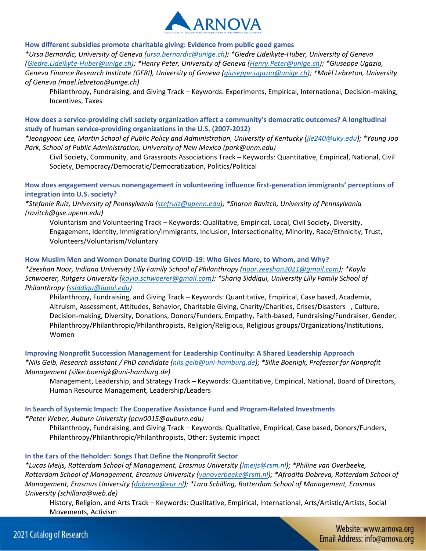

**How different subsidies promote charitable giving: Evidence from public good games** 

*\*Ursa Bernardic, University of Geneva [\(ursa.bernardic@unige.ch\)](mailto:ursa.bernardic@unige.ch); \*Giedre Lideikyte-Huber, University of Geneva [\(Giedre.Lideikyte-Huber@unige.ch\)](mailto:Giedre.Lideikyte-Huber@unige.ch); \*Henry Peter, University of Geneva [\(Henry.Peter@unige.ch\)](mailto:Henry.Peter@unige.ch); \*Giuseppe Ugazio, Geneva Finance Research Institute (GFRI), University of Geneva [\(giuseppe.ugazio@unige.ch\)](mailto:giuseppe.ugazio@unige.ch); \*Maël Lebreton, University of Geneva (mael.lebreton@unige.ch)*

Philanthropy, Fundraising, and Giving Track – Keywords: Experiments, Empirical, International, Decision-making, Incentives, Taxes

**How does a service-providing civil society organization affect a community's democratic outcomes? A longitudinal study of human service-providing organizations in the U.S. (2007-2012)** 

*\*Jeongyoon Lee, Martin School of Public Policy and Administration, University of Kentucky [\(jle240@uky.edu\)](mailto:jle240@uky.edu); \*Young Joo Park, School of Public Administration, University of New Mexico (park@unm.edu)*

Civil Society, Community, and Grassroots Associations Track – Keywords: Quantitative, Empirical, National, Civil Society, Democracy/Democratic/Democratization, Politics/Political

**How does engagement versus nonengagement in volunteering influence first-generation immigrants' perceptions of integration into U.S. society?** 

*\*Stefanie Ruiz, University of Pennsylvania [\(stefruiz@upenn.edu\)](mailto:stefruiz@upenn.edu); \*Sharon Ravitch, University of Pennsylvania (ravitch@gse.upenn.edu)*

Voluntarism and Volunteering Track – Keywords: Qualitative, Empirical, Local, Civil Society, Diversity, Engagement, Identity, Immigration/Immigrants, Inclusion, Intersectionality, Minority, Race/Ethnicity, Trust, Volunteers/Voluntarism/Voluntary

# **How Muslim Men and Women Donate During COVID-19: Who Gives More, to Whom, and Why?**

*\*Zeeshan Noor, Indiana University Lilly Family School of Philanthropy [\(noor.zeeshan2021@gmail.com\)](mailto:noor.zeeshan2021@gmail.com); \*Kayla Schwoerer, Rutgers University [\(kayla.schwoerer@gmail.com\)](mailto:kayla.schwoerer@gmail.com); \*Shariq Siddiqui, University Lilly Family School of Philanthropy [\(ssiddiqu@iupui.edu\)](mailto:ssiddiqu@iupui.edu)*

Philanthropy, Fundraising, and Giving Track – Keywords: Quantitative, Empirical, Case based, Academia, Altruism, Assessment, Attitudes, Behavior, Charitable Giving, Charity/Charities, Crises/Disasters , Culture, Decision-making, Diversity, Donations, Donors/Funders, Empathy, Faith-based, Fundraising/Fundraiser, Gender, Philanthropy/Philanthropic/Philanthropists, Religion/Religious, Religious groups/Organizations/Institutions, Women

#### **Improving Nonprofit Succession Management for Leadership Continuity: A Shared Leadership Approach**  *\*Nils Geib, Research assistant / PhD candidate [\(nils.geib@uni-hamburg.de\)](mailto:nils.geib@uni-hamburg.de); \*Silke Boenigk, Professor for Nonprofit Management (silke.boenigk@uni-hamburg.de)*

Management, Leadership, and Strategy Track – Keywords: Quantitative, Empirical, National, Board of Directors, Human Resource Management, Leadership/Leaders

# **In Search of Systemic Impact: The Cooperative Assistance Fund and Program-Related Investments**

*\*Peter Weber, Auburn University (pcw0015@auburn.edu)*

Philanthropy, Fundraising, and Giving Track – Keywords: Qualitative, Empirical, Case based, Donors/Funders, Philanthropy/Philanthropic/Philanthropists, Other: Systemic impact

# **In the Ears of the Beholder: Songs That Define the Nonprofit Sector**

*\*Lucas Meijs, Rotterdam School of Management, Erasmus University [\(lmeijs@rsm.nl\)](mailto:lmeijs@rsm.nl); \*Philine van Overbeeke, Rotterdam School of Management, Erasmus University [\(vanoverbeeke@rsm.nl\)](mailto:vanoverbeeke@rsm.nl); \*Afrodita Dobreva, Rotterdam School of Management, Erasmus University [\(dobreva@eur.nl\)](mailto:dobreva@eur.nl); \*Lara Schilling, Rotterdam School of Management, Erasmus University (schillara@web.de)*

History, Religion, and Arts Track – Keywords: Qualitative, Empirical, International, Arts/Artistic/Artists, Social Movements, Activism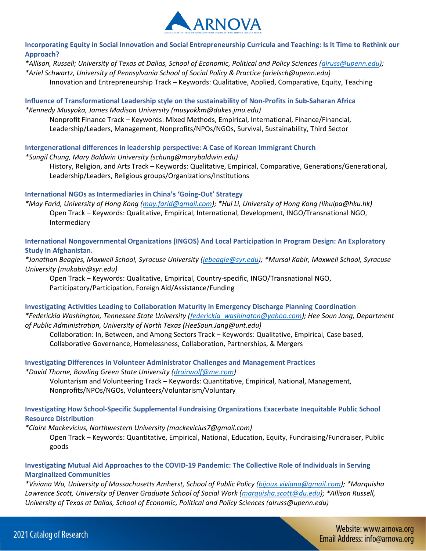

**Incorporating Equity in Social Innovation and Social Entrepreneurship Curricula and Teaching: Is It Time to Rethink our Approach?** 

*\*Allison, Russell; University of Texas at Dallas, School of Economic, Political and Policy Sciences [\(alruss@upenn.edu\)](mailto:alruss@upenn.edu); \*Ariel Schwartz, University of Pennsylvania School of Social Policy & Practice (arielsch@upenn.edu)*

Innovation and Entrepreneurship Track – Keywords: Qualitative, Applied, Comparative, Equity, Teaching

**Influence of Transformational Leadership style on the sustainability of Non-Profits in Sub-Saharan Africa**  *\*Kennedy Musyoka, James Madison University (musyokkm@dukes.jmu.edu)*

Nonprofit Finance Track – Keywords: Mixed Methods, Empirical, International, Finance/Financial, Leadership/Leaders, Management, Nonprofits/NPOs/NGOs, Survival, Sustainability, Third Sector

**Intergenerational differences in leadership perspective: A Case of Korean Immigrant Church** 

*\*Sungil Chung, Mary Baldwin University (schung@marybaldwin.edu)*

History, Religion, and Arts Track – Keywords: Qualitative, Empirical, Comparative, Generations/Generational, Leadership/Leaders, Religious groups/Organizations/Institutions

#### **International NGOs as Intermediaries in China's 'Going-Out' Strategy**

*\*May Farid, University of Hong Kong [\(may.farid@gmail.com\)](mailto:may.farid@gmail.com); \*Hui Li, University of Hong Kong (lihuipa@hku.hk)* Open Track – Keywords: Qualitative, Empirical, International, Development, INGO/Transnational NGO, Intermediary

**International Nongovernmental Organizations (INGOS) And Local Participation In Program Design: An Exploratory Study In Afghanistan.** 

*\*Jonathan Beagles, Maxwell School, Syracuse University [\(jebeagle@syr.edu\)](mailto:jebeagle@syr.edu); \*Mursal Kabir, Maxwell School, Syracuse University (mukabir@syr.edu)*

Open Track – Keywords: Qualitative, Empirical, Country-specific, INGO/Transnational NGO, Participatory/Participation, Foreign Aid/Assistance/Funding

**Investigating Activities Leading to Collaboration Maturity in Emergency Discharge Planning Coordination**  *\*Federickia Washington, Tennessee State University [\(federickia\\_washington@yahoo.com\)](mailto:federickia_washington@yahoo.com); Hee Soun Jang, Department of Public Administration, University of North Texas (HeeSoun.Jang@unt.edu)*

Collaboration: In, Between, and Among Sectors Track – Keywords: Qualitative, Empirical, Case based, Collaborative Governance, Homelessness, Collaboration, Partnerships, & Mergers

**Investigating Differences in Volunteer Administrator Challenges and Management Practices**  *\*David Thorne, Bowling Green State University [\(drairwolf@me.com\)](mailto:drairwolf@me.com)*

Voluntarism and Volunteering Track – Keywords: Quantitative, Empirical, National, Management, Nonprofits/NPOs/NGOs, Volunteers/Voluntarism/Voluntary

# **Investigating How School-Specific Supplemental Fundraising Organizations Exacerbate Inequitable Public School Resource Distribution**

*\*Claire Mackevicius, Northwestern University (mackevicius7@gmail.com)*

Open Track – Keywords: Quantitative, Empirical, National, Education, Equity, Fundraising/Fundraiser, Public goods

# **Investigating Mutual Aid Approaches to the COVID-19 Pandemic: The Collective Role of Individuals in Serving Marginalized Communities**

*\*Viviana Wu, University of Massachusetts Amherst, School of Public Policy [\(bijoux.viviana@gmail.com\)](mailto:bijoux.viviana@gmail.com); \*Marquisha Lawrence Scott, University of Denver Graduate School of Social Work [\(marquisha.scott@du.edu\)](mailto:marquisha.scott@du.edu); \*Allison Russell, University of Texas at Dallas, School of Economic, Political and Policy Sciences (alruss@upenn.edu)*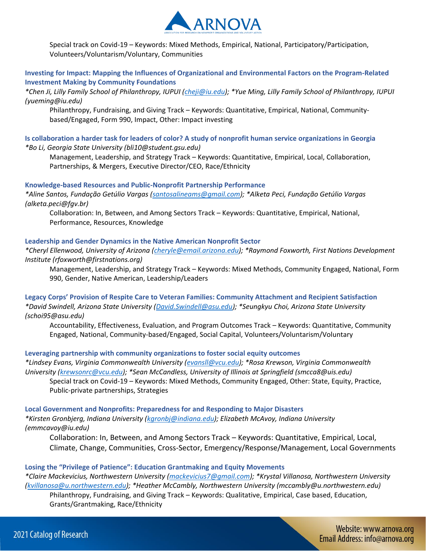

Special track on Covid-19 – Keywords: Mixed Methods, Empirical, National, Participatory/Participation, Volunteers/Voluntarism/Voluntary, Communities

# **Investing for Impact: Mapping the Influences of Organizational and Environmental Factors on the Program-Related Investment Making by Community Foundations**

*\*Chen Ji, Lilly Family School of Philanthropy, IUPUI [\(cheji@iu.edu\)](mailto:cheji@iu.edu); \*Yue Ming, Lilly Family School of Philanthropy, IUPUI (yueming@iu.edu)*

Philanthropy, Fundraising, and Giving Track – Keywords: Quantitative, Empirical, National, Communitybased/Engaged, Form 990, Impact, Other: Impact investing

**Is collaboration a harder task for leaders of color? A study of nonprofit human service organizations in Georgia**  *\*Bo Li, Georgia State University (bli10@student.gsu.edu)*

Management, Leadership, and Strategy Track – Keywords: Quantitative, Empirical, Local, Collaboration, Partnerships, & Mergers, Executive Director/CEO, Race/Ethnicity

#### **Knowledge-based Resources and Public-Nonprofit Partnership Performance**

*\*Aline Santos, Fundação Getúlio Vargas [\(santosalineams@gmail.com\)](mailto:santosalineams@gmail.com); \*Alketa Peci, Fundação Getúlio Vargas (alketa.peci@fgv.br)*

Collaboration: In, Between, and Among Sectors Track – Keywords: Quantitative, Empirical, National, Performance, Resources, Knowledge

#### **Leadership and Gender Dynamics in the Native American Nonprofit Sector**

*\*Cheryl Ellenwood, University of Arizona [\(cheryle@email.arizona.edu\)](mailto:cheryle@email.arizona.edu); \*Raymond Foxworth, First Nations Development Institute (rfoxworth@firstnations.org)*

Management, Leadership, and Strategy Track – Keywords: Mixed Methods, Community Engaged, National, Form 990, Gender, Native American, Leadership/Leaders

**Legacy Corps' Provision of Respite Care to Veteran Families: Community Attachment and Recipient Satisfaction**  *\*David Swindell, Arizona State University [\(David.Swindell@asu.edu\)](mailto:David.Swindell@asu.edu); \*Seungkyu Choi, Arizona State University (schoi95@asu.edu)*

Accountability, Effectiveness, Evaluation, and Program Outcomes Track – Keywords: Quantitative, Community Engaged, National, Community-based/Engaged, Social Capital, Volunteers/Voluntarism/Voluntary

# **Leveraging partnership with community organizations to foster social equity outcomes**

*\*Lindsey Evans, Virginia Commonwealth University [\(evansll@vcu.edu\)](mailto:evansll@vcu.edu); \*Rosa Krewson, Virginia Commonwealth University [\(krewsonrc@vcu.edu\)](mailto:krewsonrc@vcu.edu); \*Sean McCandless, University of Illinois at Springfield (smcca8@uis.edu)* Special track on Covid-19 – Keywords: Mixed Methods, Community Engaged, Other: State, Equity, Practice, Public-private partnerships, Strategies

**Local Government and Nonprofits: Preparedness for and Responding to Major Disasters**  *\*Kirsten Gronbjerg, Indiana University [\(kgronbj@indiana.edu\)](mailto:kgronbj@indiana.edu); Elizabeth McAvoy, Indiana University (emmcavoy@iu.edu)*

Collaboration: In, Between, and Among Sectors Track – Keywords: Quantitative, Empirical, Local, Climate, Change, Communities, Cross-Sector, Emergency/Response/Management, Local Governments

# **Losing the "Privilege of Patience": Education Grantmaking and Equity Movements**

*\*Claire Mackevicius, Northwestern University [\(mackevicius7@gmail.com\)](mailto:mackevicius7@gmail.com); \*Krystal Villanosa, Northwestern University [\(kvillanosa@u.northwestern.edu\)](mailto:kvillanosa@u.northwestern.edu); \*Heather McCambly, Northwestern University (mccambly@u.northwestern.edu)* Philanthropy, Fundraising, and Giving Track – Keywords: Qualitative, Empirical, Case based, Education,

Grants/Grantmaking, Race/Ethnicity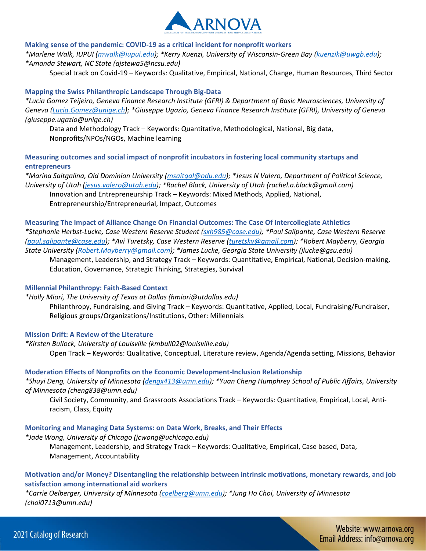

#### **Making sense of the pandemic: COVID-19 as a critical incident for nonprofit workers**

*\*Marlene Walk, IUPUI [\(mwalk@iupui.edu\)](mailto:mwalk@iupui.edu); \*Kerry Kuenzi, University of Wisconsin-Green Bay [\(kuenzik@uwgb.edu\)](mailto:kuenzik@uwgb.edu); \*Amanda Stewart, NC State (ajstewa5@ncsu.edu)*

Special track on Covid-19 – Keywords: Qualitative, Empirical, National, Change, Human Resources, Third Sector

#### **Mapping the Swiss Philanthropic Landscape Through Big-Data**

*\*Lucia Gomez Teijeiro, Geneva Finance Research Institute (GFRI) & Department of Basic Neurosciences, University of Geneva [\(Lucia.Gomez@unige.ch\)](mailto:Lucia.Gomez@unige.ch); \*Giuseppe Ugazio, Geneva Finance Research Institute (GFRI), University of Geneva (giuseppe.ugazio@unige.ch)*

Data and Methodology Track – Keywords: Quantitative, Methodological, National, Big data, Nonprofits/NPOs/NGOs, Machine learning

**Measuring outcomes and social impact of nonprofit incubators in fostering local community startups and entrepreneurs** 

*\*Marina Saitgalina, Old Dominion University [\(msaitgal@odu.edu\)](mailto:msaitgal@odu.edu); \*Jesus N Valero, Department of Political Science, University of Utah [\(jesus.valero@utah.edu\)](mailto:jesus.valero@utah.edu); \*Rachel Black, University of Utah (rachel.a.black@gmail.com)* Innovation and Entrepreneurship Track – Keywords: Mixed Methods, Applied, National, Entrepreneurship/Entrepreneurial, Impact, Outcomes

**Measuring The Impact of Alliance Change On Financial Outcomes: The Case Of Intercollegiate Athletics**  *\*Stephanie Herbst-Lucke, Case Western Reserve Student [\(sxh985@case.edu\)](mailto:sxh985@case.edu); \*Paul Salipante, Case Western Reserve [\(paul.salipante@case.edu\)](mailto:paul.salipante@case.edu); \*Avi Turetsky, Case Western Reserve [\(turetsky@gmail.com\)](mailto:turetsky@gmail.com); \*Robert Mayberry, Georgia State University [\(Robert.Mayberry@gmail.com\)](mailto:Robert.Mayberry@gmail.com); \*James Lucke, Georgia State University (jlucke@gsu.edu)* Management, Leadership, and Strategy Track – Keywords: Quantitative, Empirical, National, Decision-making,

Education, Governance, Strategic Thinking, Strategies, Survival

#### **Millennial Philanthropy: Faith-Based Context**

*\*Holly Miori, The University of Texas at Dallas (hmiori@utdallas.edu)* Philanthropy, Fundraising, and Giving Track – Keywords: Quantitative, Applied, Local, Fundraising/Fundraiser, Religious groups/Organizations/Institutions, Other: Millennials

#### **Mission Drift: A Review of the Literature**

*\*Kirsten Bullock, University of Louisville (kmbull02@louisville.edu)* Open Track – Keywords: Qualitative, Conceptual, Literature review, Agenda/Agenda setting, Missions, Behavior

#### **Moderation Effects of Nonprofits on the Economic Development-Inclusion Relationship**

*\*Shuyi Deng, University of Minnesota [\(dengx413@umn.edu\)](mailto:dengx413@umn.edu); \*Yuan Cheng Humphrey School of Public Affairs, University of Minnesota (cheng838@umn.edu)*

Civil Society, Community, and Grassroots Associations Track – Keywords: Quantitative, Empirical, Local, Antiracism, Class, Equity

#### **Monitoring and Managing Data Systems: on Data Work, Breaks, and Their Effects**

### *\*Jade Wong, University of Chicago (jcwong@uchicago.edu)*

Management, Leadership, and Strategy Track – Keywords: Qualitative, Empirical, Case based, Data, Management, Accountability

# **Motivation and/or Money? Disentangling the relationship between intrinsic motivations, monetary rewards, and job satisfaction among international aid workers**

*\*Carrie Oelberger, University of Minnesota [\(coelberg@umn.edu\)](mailto:coelberg@umn.edu); \*Jung Ho Choi, University of Minnesota (choi0713@umn.edu)*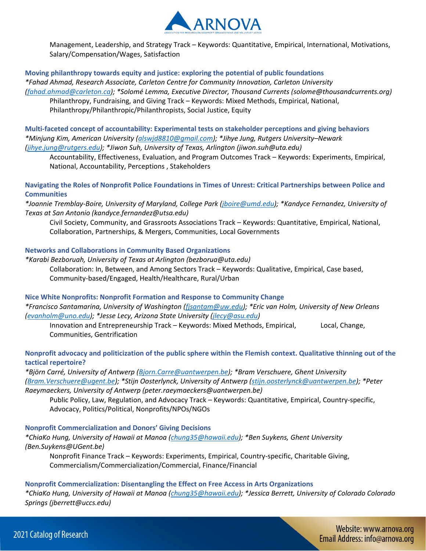

Management, Leadership, and Strategy Track – Keywords: Quantitative, Empirical, International, Motivations, Salary/Compensation/Wages, Satisfaction

#### **Moving philanthropy towards equity and justice: exploring the potential of public foundations**

*\*Fahad Ahmad, Research Associate, Carleton Centre for Community Innovation, Carleton University [\(fahad.ahmad@carleton.ca\)](mailto:fahad.ahmad@carleton.ca); \*Solomé Lemma, Executive Director, Thousand Currents (solome@thousandcurrents.org)* Philanthropy, Fundraising, and Giving Track – Keywords: Mixed Methods, Empirical, National, Philanthropy/Philanthropic/Philanthropists, Social Justice, Equity

**Multi-faceted concept of accountability: Experimental tests on stakeholder perceptions and giving behaviors**  *\*Minjung Kim, American University [\(alswjd8810@gmail.com\)](mailto:alswjd8810@gmail.com); \*Jihye Jung, Rutgers University–Newark [\(jihye.jung@rutgers.edu\)](mailto:jihye.jung@rutgers.edu); \*Jiwon Suh, University of Texas, Arlington (jiwon.suh@uta.edu)*

Accountability, Effectiveness, Evaluation, and Program Outcomes Track – Keywords: Experiments, Empirical, National, Accountability, Perceptions , Stakeholders

**Navigating the Roles of Nonprofit Police Foundations in Times of Unrest: Critical Partnerships between Police and Communities** 

*\*Joannie Tremblay-Boire, University of Maryland, College Park [\(jboire@umd.edu\)](mailto:jboire@umd.edu); \*Kandyce Fernandez, University of Texas at San Antonio (kandyce.fernandez@utsa.edu)*

Civil Society, Community, and Grassroots Associations Track – Keywords: Quantitative, Empirical, National, Collaboration, Partnerships, & Mergers, Communities, Local Governments

# **Networks and Collaborations in Community Based Organizations**

*\*Karabi Bezboruah, University of Texas at Arlington (bezborua@uta.edu)* Collaboration: In, Between, and Among Sectors Track – Keywords: Qualitative, Empirical, Case based, Community-based/Engaged, Health/Healthcare, Rural/Urban

**Nice White Nonprofits: Nonprofit Formation and Response to Community Change**  *\*Francisco Santamarina, University of Washington [\(fjsantam@uw.edu\)](mailto:fjsantam@uw.edu); \*Eric van Holm, University of New Orleans [\(evanholm@uno.edu\)](mailto:evanholm@uno.edu); \*Jesse Lecy, Arizona State University [\(jlecy@asu.edu\)](mailto:jlecy@asu.edu)*

Innovation and Entrepreneurship Track – Keywords: Mixed Methods, Empirical, Local, Change, Communities, Gentrification

# **Nonprofit advocacy and politicization of the public sphere within the Flemish context. Qualitative thinning out of the tactical repertoire?**

*\*Björn Carré, University of Antwerp [\(Bjorn.Carre@uantwerpen.be\)](mailto:Bjorn.Carre@uantwerpen.be); \*Bram Verschuere, Ghent University [\(Bram.Verschuere@ugent.be\)](mailto:Bram.Verschuere@ugent.be); \*Stijn Oosterlynck, University of Antwerp [\(stijn.oosterlynck@uantwerpen.be\)](mailto:stijn.oosterlynck@uantwerpen.be); \*Peter Raeymaeckers, University of Antwerp (peter.raeymaeckers@uantwerpen.be)*

Public Policy, Law, Regulation, and Advocacy Track – Keywords: Quantitative, Empirical, Country-specific, Advocacy, Politics/Political, Nonprofits/NPOs/NGOs

**Nonprofit Commercialization and Donors' Giving Decisions** 

*\*ChiaKo Hung, University of Hawaii at Manoa [\(chung35@hawaii.edu\)](mailto:chung35@hawaii.edu); \*Ben Suykens, Ghent University (Ben.Suykens@UGent.be)*

Nonprofit Finance Track – Keywords: Experiments, Empirical, Country-specific, Charitable Giving, Commercialism/Commercialization/Commercial, Finance/Financial

# **Nonprofit Commercialization: Disentangling the Effect on Free Access in Arts Organizations**

*\*ChiaKo Hung, University of Hawaii at Manoa [\(chung35@hawaii.edu\)](mailto:chung35@hawaii.edu); \*Jessica Berrett, University of Colorado Colorado Springs (jberrett@uccs.edu)*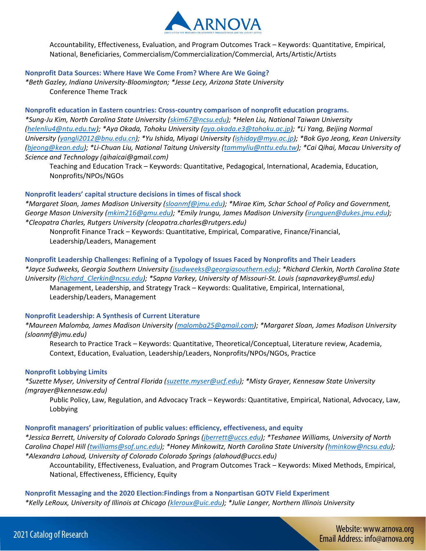

Accountability, Effectiveness, Evaluation, and Program Outcomes Track – Keywords: Quantitative, Empirical, National, Beneficiaries, Commercialism/Commercialization/Commercial, Arts/Artistic/Artists

#### **Nonprofit Data Sources: Where Have We Come From? Where Are We Going?**

*\*Beth Gazley, Indiana University-Bloomington; \*Jesse Lecy, Arizona State University* Conference Theme Track

**Nonprofit education in Eastern countries: Cross-country comparison of nonprofit education programs.**  *\*Sung-Ju Kim, North Carolina State University [\(skim67@ncsu.edu\)](mailto:skim67@ncsu.edu); \*Helen Liu, National Taiwan University [\(helenliu4@ntu.edu.tw\)](mailto:helenliu4@ntu.edu.tw); \*Aya Okada, Tohoku University [\(aya.okada.e3@tohoku.ac.jp\)](mailto:aya.okada.e3@tohoku.ac.jp); \*Li Yang, Beijing Normal University [\(yangli2012@bnu.edu.cn\)](mailto:yangli2012@bnu.edu.cn); \*Yu Ishida, Miyagi University [\(ishiday@myu.ac.jp\)](mailto:ishiday@myu.ac.jp); \*Bok Gyo Jeong, Kean University [\(bjeong@kean.edu\)](mailto:bjeong@kean.edu); \*Li-Chuan Liu, National Taitung University [\(tammyliu@nttu.edu.tw\)](mailto:tammyliu@nttu.edu.tw); \*Cai Qihai, Macau University of Science and Technology (qihaicai@gmail.com)*

Teaching and Education Track – Keywords: Quantitative, Pedagogical, International, Academia, Education, Nonprofits/NPOs/NGOs

# **Nonprofit leaders' capital structure decisions in times of fiscal shock**

*\*Margaret Sloan, James Madison University [\(sloanmf@jmu.edu\)](mailto:sloanmf@jmu.edu); \*Mirae Kim, Schar School of Policy and Government, George Mason University [\(mkim216@gmu.edu\)](mailto:mkim216@gmu.edu); \*Emily Irungu, James Madison University [\(irunguen@dukes.jmu.edu\)](mailto:irunguen@dukes.jmu.edu); \*Cleopatra Charles, Rutgers University (cleopatra.charles@rutgers.edu)*

Nonprofit Finance Track – Keywords: Quantitative, Empirical, Comparative, Finance/Financial, Leadership/Leaders, Management

#### **Nonprofit Leadership Challenges: Refining of a Typology of Issues Faced by Nonprofits and Their Leaders**

*\*Jayce Sudweeks, Georgia Southern University [\(jsudweeks@georgiasouthern.edu\)](mailto:jsudweeks@georgiasouthern.edu); \*Richard Clerkin, North Carolina State University [\(Richard\\_Clerkin@ncsu.edu\)](mailto:Richard_Clerkin@ncsu.edu); \*Sapna Varkey, University of Missouri-St. Louis (sapnavarkey@umsl.edu)* Management, Leadership, and Strategy Track – Keywords: Qualitative, Empirical, International, Leadership/Leaders, Management

#### **Nonprofit Leadership: A Synthesis of Current Literature**

*\*Maureen Malomba, James Madison University [\(malomba25@gmail.com\)](mailto:malomba25@gmail.com); \*Margaret Sloan, James Madison University (sloanmf@jmu.edu)*

Research to Practice Track – Keywords: Quantitative, Theoretical/Conceptual, Literature review, Academia, Context, Education, Evaluation, Leadership/Leaders, Nonprofits/NPOs/NGOs, Practice

#### **Nonprofit Lobbying Limits**

*\*Suzette Myser, University of Central Florida [\(suzette.myser@ucf.edu\)](mailto:suzette.myser@ucf.edu); \*Misty Grayer, Kennesaw State University (mgrayer@kennesaw.edu)*

Public Policy, Law, Regulation, and Advocacy Track – Keywords: Quantitative, Empirical, National, Advocacy, Law, Lobbying

#### **Nonprofit managers' prioritization of public values: efficiency, effectiveness, and equity**

*\*Jessica Berrett, University of Colorado Colorado Springs [\(jberrett@uccs.edu\)](mailto:jberrett@uccs.edu); \*Teshanee Williams, University of North Carolina Chapel Hill [\(twilliams@sof.unc.edu\)](mailto:twilliams@sof.unc.edu); \*Honey Minkowitz, North Carolina State University [\(hminkow@ncsu.edu\)](mailto:hminkow@ncsu.edu); \*Alexandra Lahoud, University of Colorado Colorado Springs (alahoud@uccs.edu)*

Accountability, Effectiveness, Evaluation, and Program Outcomes Track – Keywords: Mixed Methods, Empirical, National, Effectiveness, Efficiency, Equity

**Nonprofit Messaging and the 2020 Election:Findings from a Nonpartisan GOTV Field Experiment**  *\*Kelly LeRoux, University of Illinois at Chicago [\(kleroux@uic.edu\)](mailto:kleroux@uic.edu); \*Julie Langer, Northern Illinois University*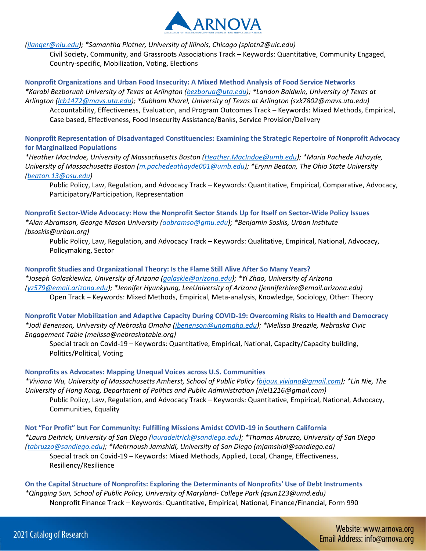

*[\(jlanger@niu.edu\)](mailto:jlanger@niu.edu); \*Samantha Plotner, University of Illinois, Chicago (splotn2@uic.edu)*

Civil Society, Community, and Grassroots Associations Track – Keywords: Quantitative, Community Engaged, Country-specific, Mobilization, Voting, Elections

## **Nonprofit Organizations and Urban Food Insecurity: A Mixed Method Analysis of Food Service Networks**

*\*Karabi Bezboruah University of Texas at Arlington [\(bezborua@uta.edu\)](mailto:bezborua@uta.edu); \*Landon Baldwin, University of Texas at Arlington [\(lcb1472@mavs.uta.edu\)](mailto:lcb1472@mavs.uta.edu); \*Subham Kharel, University of Texas at Arlington (sxk7802@mavs.uta.edu)* Accountability, Effectiveness, Evaluation, and Program Outcomes Track – Keywords: Mixed Methods, Empirical, Case based, Effectiveness, Food Insecurity Assistance/Banks, Service Provision/Delivery

**Nonprofit Representation of Disadvantaged Constituencies: Examining the Strategic Repertoire of Nonprofit Advocacy for Marginalized Populations** 

*\*Heather MacIndoe, University of Massachusetts Boston [\(Heather.MacIndoe@umb.edu\)](mailto:Heather.MacIndoe@umb.edu); \*Maria Pachede Athayde, University of Massachusetts Boston [\(m.pachedeathayde001@umb.edu\)](mailto:m.pachedeathayde001@umb.edu); \*Erynn Beaton, The Ohio State University [\(beaton.13@osu.edu\)](mailto:beaton.13@osu.edu)*

Public Policy, Law, Regulation, and Advocacy Track – Keywords: Quantitative, Empirical, Comparative, Advocacy, Participatory/Participation, Representation

**Nonprofit Sector-Wide Advocacy: How the Nonprofit Sector Stands Up for Itself on Sector-Wide Policy Issues**  *\*Alan Abramson, George Mason University [\(aabramso@gmu.edu\)](mailto:aabramso@gmu.edu); \*Benjamin Soskis, Urban Institute (bsoskis@urban.org)*

Public Policy, Law, Regulation, and Advocacy Track – Keywords: Qualitative, Empirical, National, Advocacy, Policymaking, Sector

#### **Nonprofit Studies and Organizational Theory: Is the Flame Still Alive After So Many Years?**

*\*Joseph Galaskiewicz, University of Arizona [\(galaskie@arizona.edu\)](mailto:galaskie@arizona.edu); \*Yi Zhao, University of Arizona [\(yz579@email.arizona.edu\)](mailto:yz579@email.arizona.edu); \*Jennifer Hyunkyung, LeeUniversity of Arizona (jenniferhlee@email.arizona.edu)* Open Track – Keywords: Mixed Methods, Empirical, Meta-analysis, Knowledge, Sociology, Other: Theory

**Nonprofit Voter Mobilization and Adaptive Capacity During COVID-19: Overcoming Risks to Health and Democracy**  *\*Jodi Benenson, University of Nebraska Omaha [\(jbenenson@unomaha.edu\)](mailto:jbenenson@unomaha.edu); \*Melissa Breazile, Nebraska Civic Engagement Table (melissa@nebraskatable.org)*

Special track on Covid-19 – Keywords: Quantitative, Empirical, National, Capacity/Capacity building, Politics/Political, Voting

# **Nonprofits as Advocates: Mapping Unequal Voices across U.S. Communities**

*\*Viviana Wu, University of Massachusetts Amherst, School of Public Policy [\(bijoux.viviana@gmail.com\)](mailto:bijoux.viviana@gmail.com); \*Lin Nie, The University of Hong Kong, Department of Politics and Public Administration (niel1216@gmail.com)*

Public Policy, Law, Regulation, and Advocacy Track – Keywords: Quantitative, Empirical, National, Advocacy, Communities, Equality

**Not "For Profit" but For Community: Fulfilling Missions Amidst COVID-19 in Southern California**  *\*Laura Deitrick, University of San Diego [\(lauradeitrick@sandiego.edu\)](mailto:lauradeitrick@sandiego.edu); \*Thomas Abruzzo, University of San Diego [\(tabruzzo@sandiego.edu\)](mailto:tabruzzo@sandiego.edu); \*Mehrnoush Jamshidi, University of San Diego (mjamshidi@sandiego.ed)* Special track on Covid-19 – Keywords: Mixed Methods, Applied, Local, Change, Effectiveness,

Resiliency/Resilience

**On the Capital Structure of Nonprofits: Exploring the Determinants of Nonprofits' Use of Debt Instruments**  *\*Qingqing Sun, School of Public Policy, University of Maryland- College Park (qsun123@umd.edu)* Nonprofit Finance Track – Keywords: Quantitative, Empirical, National, Finance/Financial, Form 990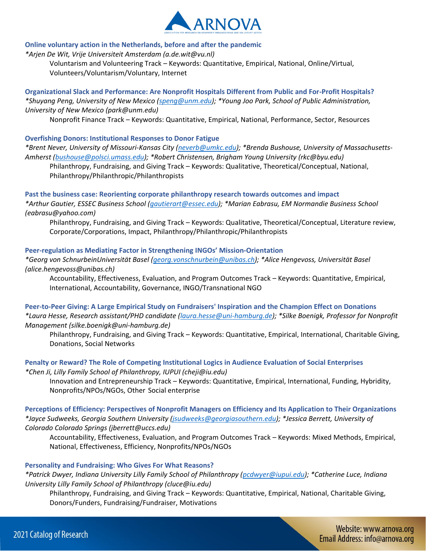

#### **Online voluntary action in the Netherlands, before and after the pandemic**

*\*Arjen De Wit, Vrije Universiteit Amsterdam (a.de.wit@vu.nl)*

Voluntarism and Volunteering Track – Keywords: Quantitative, Empirical, National, Online/Virtual, Volunteers/Voluntarism/Voluntary, Internet

**Organizational Slack and Performance: Are Nonprofit Hospitals Different from Public and For-Profit Hospitals?**  *\*Shuyang Peng, University of New Mexico [\(speng@unm.edu\)](mailto:speng@unm.edu); \*Young Joo Park, School of Public Administration, University of New Mexico (park@unm.edu)*

Nonprofit Finance Track – Keywords: Quantitative, Empirical, National, Performance, Sector, Resources

#### **Overfishing Donors: Institutional Responses to Donor Fatigue**

*\*Brent Never, University of Missouri-Kansas City [\(neverb@umkc.edu\)](mailto:neverb@umkc.edu); \*Brenda Bushouse, University of Massachusetts-Amherst [\(bushouse@polsci.umass.edu\)](mailto:bushouse@polsci.umass.edu); \*Robert Christensen, Brigham Young University (rkc@byu.edu)*

Philanthropy, Fundraising, and Giving Track – Keywords: Qualitative, Theoretical/Conceptual, National, Philanthropy/Philanthropic/Philanthropists

**Past the business case: Reorienting corporate philanthropy research towards outcomes and impact**  *\*Arthur Gautier, ESSEC Business School [\(gautierart@essec.edu\)](mailto:gautierart@essec.edu); \*Marian Eabrasu, EM Normandie Business School* 

*(eabrasu@yahoo.com)*

Philanthropy, Fundraising, and Giving Track – Keywords: Qualitative, Theoretical/Conceptual, Literature review, Corporate/Corporations, Impact, Philanthropy/Philanthropic/Philanthropists

**Peer-regulation as Mediating Factor in Strengthening INGOs' Mission-Orientation** 

*\*Georg von SchnurbeinUniversität Basel [\(georg.vonschnurbein@unibas.ch\)](mailto:georg.vonschnurbein@unibas.ch); \*Alice Hengevoss, Universität Basel (alice.hengevoss@unibas.ch)*

Accountability, Effectiveness, Evaluation, and Program Outcomes Track – Keywords: Quantitative, Empirical, International, Accountability, Governance, INGO/Transnational NGO

**Peer-to-Peer Giving: A Large Empirical Study on Fundraisers' Inspiration and the Champion Effect on Donations**  *\*Laura Hesse, Research assistant/PHD candidate [\(laura.hesse@uni-hamburg.de\)](mailto:laura.hesse@uni-hamburg.de); \*Silke Boenigk, Professor for Nonprofit Management (silke.boenigk@uni-hamburg.de)*

Philanthropy, Fundraising, and Giving Track – Keywords: Quantitative, Empirical, International, Charitable Giving, Donations, Social Networks

**Penalty or Reward? The Role of Competing Institutional Logics in Audience Evaluation of Social Enterprises**  *\*Chen Ji, Lilly Family School of Philanthropy, IUPUI (cheji@iu.edu)*

Innovation and Entrepreneurship Track – Keywords: Quantitative, Empirical, International, Funding, Hybridity, Nonprofits/NPOs/NGOs, Other Social enterprise

**Perceptions of Efficiency: Perspectives of Nonprofit Managers on Efficiency and Its Application to Their Organizations**  *\*Jayce Sudweeks, Georgia Southern University [\(jsudweeks@georgiasouthern.edu\)](mailto:jsudweeks@georgiasouthern.edu); \*Jessica Berrett, University of Colorado Colorado Springs (jberrett@uccs.edu)*

Accountability, Effectiveness, Evaluation, and Program Outcomes Track – Keywords: Mixed Methods, Empirical, National, Effectiveness, Efficiency, Nonprofits/NPOs/NGOs

# **Personality and Fundraising: Who Gives For What Reasons?**

*\*Patrick Dwyer, Indiana University Lilly Family School of Philanthropy [\(pcdwyer@iupui.edu\)](mailto:pcdwyer@iupui.edu); \*Catherine Luce, Indiana University Lilly Family School of Philanthropy (cluce@iu.edu)*

Philanthropy, Fundraising, and Giving Track – Keywords: Quantitative, Empirical, National, Charitable Giving, Donors/Funders, Fundraising/Fundraiser, Motivations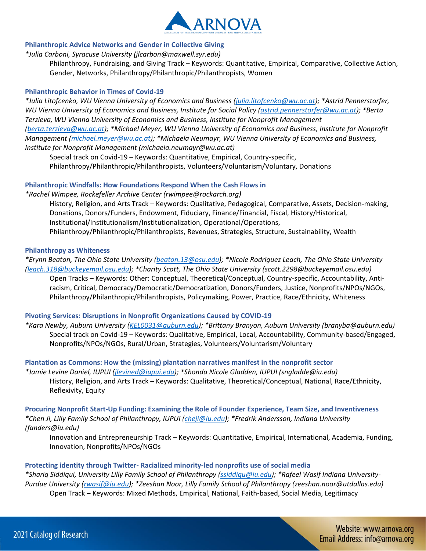

#### **Philanthropic Advice Networks and Gender in Collective Giving**

*\*Julia Carboni, Syracuse University (jlcarbon@maxwell.syr.edu)*

Philanthropy, Fundraising, and Giving Track – Keywords: Quantitative, Empirical, Comparative, Collective Action, Gender, Networks, Philanthropy/Philanthropic/Philanthropists, Women

## **Philanthropic Behavior in Times of Covid-19**

*\*Julia Litofcenko, WU Vienna University of Economics and Business [\(julia.litofcenko@wu.ac.at\)](mailto:julia.litofcenko@wu.ac.at); \*Astrid Pennerstorfer, WU Vienna University of Economics and Business, Institute for Social Policy [\(astrid.pennerstorfer@wu.ac.at\)](mailto:astrid.pennerstorfer@wu.ac.at); \*Berta Terzieva, WU Vienna University of Economics and Business, Institute for Nonprofit Management [\(berta.terzieva@wu.ac.at\)](mailto:berta.terzieva@wu.ac.at); \*Michael Meyer, WU Vienna University of Economics and Business, Institute for Nonprofit Management [\(michael.meyer@wu.ac.at\)](mailto:michael.meyer@wu.ac.at); \*Michaela Neumayr, WU Vienna University of Economics and Business, Institute for Nonprofit Management (michaela.neumayr@wu.ac.at)*

Special track on Covid-19 – Keywords: Quantitative, Empirical, Country-specific, Philanthropy/Philanthropic/Philanthropists, Volunteers/Voluntarism/Voluntary, Donations

#### **Philanthropic Windfalls: How Foundations Respond When the Cash Flows in**

*\*Rachel Wimpee, Rockefeller Archive Center (rwimpee@rockarch.org)* History, Religion, and Arts Track – Keywords: Qualitative, Pedagogical, Comparative, Assets, Decision-making, Donations, Donors/Funders, Endowment, Fiduciary, Finance/Financial, Fiscal, History/Historical, Institutional/Institutionalism/Institutionalization, Operational/Operations, Philanthropy/Philanthropic/Philanthropists, Revenues, Strategies, Structure, Sustainability, Wealth

#### **Philanthropy as Whiteness**

*\*Erynn Beaton, The Ohio State University [\(beaton.13@osu.edu\)](mailto:beaton.13@osu.edu); \*Nicole Rodriguez Leach, The Ohio State University [\(leach.318@buckeyemail.osu.edu\)](mailto:leach.318@buckeyemail.osu.edu); \*Charity Scott, The Ohio State University (scott.2298@buckeyemail.osu.edu)* Open Tracks – Keywords: Other: Conceptual, Theoretical/Conceptual, Country-specific, Accountability, Antiracism, Critical, Democracy/Democratic/Democratization, Donors/Funders, Justice, Nonprofits/NPOs/NGOs, Philanthropy/Philanthropic/Philanthropists, Policymaking, Power, Practice, Race/Ethnicity, Whiteness

#### **Pivoting Services: Disruptions in Nonprofit Organizations Caused by COVID-19**

*\*Kara Newby, Auburn University [\(KEL0031@auburn.edu\)](mailto:KEL0031@auburn.edu); \*Brittany Branyon, Auburn University (branyba@auburn.edu)* Special track on Covid-19 – Keywords: Qualitative, Empirical, Local, Accountability, Community-based/Engaged, Nonprofits/NPOs/NGOs, Rural/Urban, Strategies, Volunteers/Voluntarism/Voluntary

**Plantation as Commons: How the (missing) plantation narratives manifest in the nonprofit sector** 

*\*Jamie Levine Daniel, IUPUI [\(jlevined@iupui.edu\)](mailto:jlevined@iupui.edu); \*Shonda Nicole Gladden, IUPUI (sngladde@iu.edu)* History, Religion, and Arts Track – Keywords: Qualitative, Theoretical/Conceptual, National, Race/Ethnicity, Reflexivity, Equity

**Procuring Nonprofit Start-Up Funding: Examining the Role of Founder Experience, Team Size, and Inventiveness**  *\*Chen Ji, Lilly Family School of Philanthropy, IUPUI [\(cheji@iu.edu\)](mailto:cheji@iu.edu); \*Fredrik Andersson, Indiana University (fanders@iu.edu)*

Innovation and Entrepreneurship Track – Keywords: Quantitative, Empirical, International, Academia, Funding, Innovation, Nonprofits/NPOs/NGOs

# **Protecting identity through Twitter- Racialized minority-led nonprofits use of social media**

*\*Shariq Siddiqui, University Lilly Family School of Philanthropy [\(ssiddiqu@iu.edu\)](mailto:ssiddiqu@iu.edu); \*Rafeel Wasif Indiana University-Purdue University [\(rwasif@iu.edu\)](mailto:rwasif@iu.edu); \*Zeeshan Noor, Lilly Family School of Philanthropy (zeeshan.noor@utdallas.edu)* Open Track – Keywords: Mixed Methods, Empirical, National, Faith-based, Social Media, Legitimacy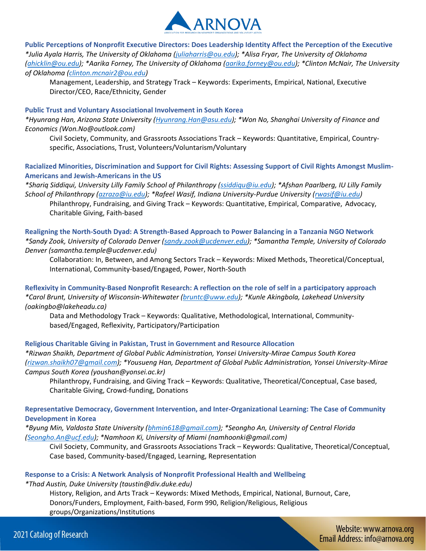

**Public Perceptions of Nonprofit Executive Directors: Does Leadership Identity Affect the Perception of the Executive**  *\*Julia Ayala Harris, The University of Oklahoma [\(juliaharris@ou.edu\)](mailto:juliaharris@ou.edu); \*Alisa Fryar, The University of Oklahoma [\(ahicklin@ou.edu\)](mailto:ahicklin@ou.edu); \*Aarika Forney, The University of Oklahoma [\(aarika.forney@ou.edu\)](mailto:aarika.forney@ou.edu); \*Clinton McNair, The University of Oklahoma [\(clinton.mcnair2@ou.edu\)](mailto:clinton.mcnair2@ou.edu)*

Management, Leadership, and Strategy Track – Keywords: Experiments, Empirical, National, Executive Director/CEO, Race/Ethnicity, Gender

#### **Public Trust and Voluntary Associational Involvement in South Korea**

*\*Hyunrang Han, Arizona State University [\(Hyunrang.Han@asu.edu\)](mailto:Hyunrang.Han@asu.edu); \*Won No, Shanghai University of Finance and Economics (Won.No@outlook.com)*

Civil Society, Community, and Grassroots Associations Track – Keywords: Quantitative, Empirical, Countryspecific, Associations, Trust, Volunteers/Voluntarism/Voluntary

# **Racialized Minorities, Discrimination and Support for Civil Rights: Assessing Support of Civil Rights Amongst Muslim-Americans and Jewish-Americans in the US**

*\*Shariq Siddiqui, University Lilly Family School of Philanthropy [\(ssiddiqu@iu.edu\)](mailto:ssiddiqu@iu.edu); \*Afshan Paarlberg, IU Lilly Family School of Philanthropy [\(azraza@iu.edu\)](mailto:azraza@iu.edu); \*Rafeel Wasif, Indiana University-Purdue University [\(rwasif@iu.edu\)](mailto:rwasif@iu.edu)*

Philanthropy, Fundraising, and Giving Track – Keywords: Quantitative, Empirical, Comparative, Advocacy, Charitable Giving, Faith-based

**Realigning the North-South Dyad: A Strength-Based Approach to Power Balancing in a Tanzania NGO Network** *\*Sandy Zook, University of Colorado Denver [\(sandy.zook@ucdenver.edu\)](mailto:sandy.zook@ucdenver.edu); \*Samantha Temple, University of Colorado Denver (samantha.temple@ucdenver.edu)*

Collaboration: In, Between, and Among Sectors Track – Keywords: Mixed Methods, Theoretical/Conceptual, International, Community-based/Engaged, Power, North-South

**Reflexivity in Community-Based Nonprofit Research: A reflection on the role of self in a participatory approach**  *\*Carol Brunt, University of Wisconsin-Whitewater [\(bruntc@uww.edu\)](mailto:bruntc@uww.edu); \*Kunle Akingbola, Lakehead University (oakingbo@lakeheadu.ca)*

Data and Methodology Track – Keywords: Qualitative, Methodological, International, Communitybased/Engaged, Reflexivity, Participatory/Participation

# **Religious Charitable Giving in Pakistan, Trust in Government and Resource Allocation**

*\*Rizwan Shaikh, Department of Global Public Administration, Yonsei University-Mirae Campus South Korea [\(rizwan.shaikh07@gmail.com\)](mailto:rizwan.shaikh07@gmail.com); \*Yousueng Han, Department of Global Public Administration, Yonsei University-Mirae Campus South Korea (youshan@yonsei.ac.kr)*

Philanthropy, Fundraising, and Giving Track – Keywords: Qualitative, Theoretical/Conceptual, Case based, Charitable Giving, Crowd-funding, Donations

# **Representative Democracy, Government Intervention, and Inter-Organizational Learning: The Case of Community Development in Korea**

*\*Byung Min, Valdosta State University [\(bhmin618@gmail.com\)](mailto:bhmin618@gmail.com); \*Seongho An, University of Central Florida [\(Seongho.An@ucf.edu\)](mailto:Seongho.An@ucf.edu); \*Namhoon Ki, University of Miami (namhoonki@gmail.com)*

Civil Society, Community, and Grassroots Associations Track – Keywords: Qualitative, Theoretical/Conceptual, Case based, Community-based/Engaged, Learning, Representation

#### **Response to a Crisis: A Network Analysis of Nonprofit Professional Health and Wellbeing**

*\*Thad Austin, Duke University (taustin@div.duke.edu)*

History, Religion, and Arts Track – Keywords: Mixed Methods, Empirical, National, Burnout, Care, Donors/Funders, Employment, Faith-based, Form 990, Religion/Religious, Religious groups/Organizations/Institutions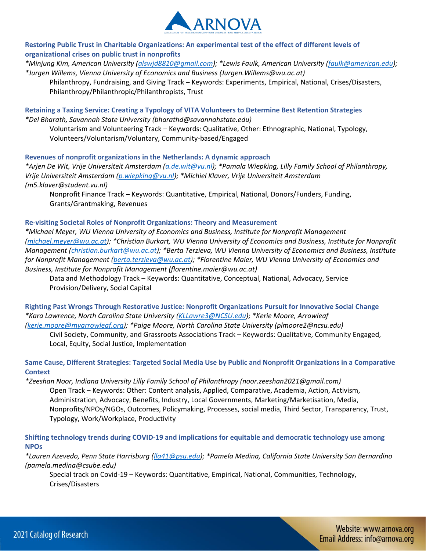

**Restoring Public Trust in Charitable Organizations: An experimental test of the effect of different levels of organizational crises on public trust in nonprofits** 

*\*Minjung Kim, American University [\(alswjd8810@gmail.com\)](mailto:alswjd8810@gmail.com); \*Lewis Faulk, American University [\(faulk@american.edu\)](mailto:faulk@american.edu); \*Jurgen Willems, Vienna University of Economics and Business (Jurgen.Willems@wu.ac.at)*

Philanthropy, Fundraising, and Giving Track – Keywords: Experiments, Empirical, National, Crises/Disasters, Philanthropy/Philanthropic/Philanthropists, Trust

**Retaining a Taxing Service: Creating a Typology of VITA Volunteers to Determine Best Retention Strategies** *\*Del Bharath, Savannah State University (bharathd@savannahstate.edu)*

Voluntarism and Volunteering Track – Keywords: Qualitative, Other: Ethnographic, National, Typology, Volunteers/Voluntarism/Voluntary, Community-based/Engaged

**Revenues of nonprofit organizations in the Netherlands: A dynamic approach** 

*\*Arjen De Wit, Vrije Universiteit Amsterdam [\(a.de.wit@vu.nl\)](mailto:a.de.wit@vu.nl); \*Pamala Wiepking, Lilly Family School of Philanthropy, Vrije Universiteit Amsterdam [\(p.wiepking@vu.nl\)](mailto:p.wiepking@vu.nl); \*Michiel Klaver, Vrije Universiteit Amsterdam (m5.klaver@student.vu.nl)*

Nonprofit Finance Track – Keywords: Quantitative, Empirical, National, Donors/Funders, Funding, Grants/Grantmaking, Revenues

#### **Re-visiting Societal Roles of Nonprofit Organizations: Theory and Measurement**

*\*Michael Meyer, WU Vienna University of Economics and Business, Institute for Nonprofit Management [\(michael.meyer@wu.ac.at\)](mailto:michael.meyer@wu.ac.at); \*Christian Burkart, WU Vienna University of Economics and Business, Institute for Nonprofit Management [\(christian.burkart@wu.ac.at\)](mailto:christian.burkart@wu.ac.at); \*Berta Terzieva, WU Vienna University of Economics and Business, Institute for Nonprofit Management [\(berta.terzieva@wu.ac.at\)](mailto:berta.terzieva@wu.ac.at); \*Florentine Maier, WU Vienna University of Economics and Business, Institute for Nonprofit Management (florentine.maier@wu.ac.at)*

Data and Methodology Track – Keywords: Quantitative, Conceptual, National, Advocacy, Service Provision/Delivery, Social Capital

**Righting Past Wrongs Through Restorative Justice: Nonprofit Organizations Pursuit for Innovative Social Change**  *\*Kara Lawrence, North Carolina State University [\(KLLawre3@NCSU.edu\)](mailto:KLLawre3@NCSU.edu); \*Kerie Moore, Arrowleaf [\(kerie.moore@myarrowleaf.org\)](mailto:kerie.moore@myarrowleaf.org); \*Paige Moore, North Carolina State University (plmoore2@ncsu.edu)*

Civil Society, Community, and Grassroots Associations Track – Keywords: Qualitative, Community Engaged, Local, Equity, Social Justice, Implementation

**Same Cause, Different Strategies: Targeted Social Media Use by Public and Nonprofit Organizations in a Comparative Context** 

*\*Zeeshan Noor, Indiana University Lilly Family School of Philanthropy (noor.zeeshan2021@gmail.com)* Open Track – Keywords: Other: Content analysis, Applied, Comparative, Academia, Action, Activism, Administration, Advocacy, Benefits, Industry, Local Governments, Marketing/Marketisation, Media, Nonprofits/NPOs/NGOs, Outcomes, Policymaking, Processes, social media, Third Sector, Transparency, Trust, Typology, Work/Workplace, Productivity

**Shifting technology trends during COVID-19 and implications for equitable and democratic technology use among NPOs** 

*\*Lauren Azevedo, Penn State Harrisburg [\(lla41@psu.edu\)](mailto:lla41@psu.edu); \*Pamela Medina, California State University San Bernardino (pamela.medina@csube.edu)*

Special track on Covid-19 – Keywords: Quantitative, Empirical, National, Communities, Technology, Crises/Disasters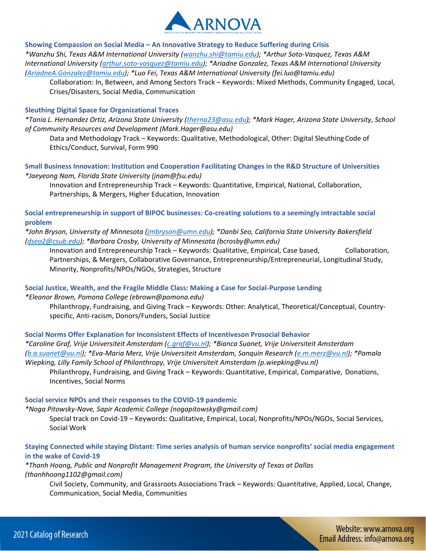

**Showing Compassion on Social Media – An Innovative Strategy to Reduce Suffering during Crisis**  *\*Wanzhu Shi, Texas A&M International University [\(wanzhu.shi@tamiu.edu\)](mailto:wanzhu.shi@tamiu.edu); \*Arthur Soto-Vasquez, Texas A&M International University [\(arthur.soto-vasquez@tamiu.edu\)](mailto:arthur.soto-vasquez@tamiu.edu); \*Ariadne Gonzalez, Texas A&M International University [\(AriadneA.Gonzalez@tamiu.edu\)](mailto:AriadneA.Gonzalez@tamiu.edu); \*Luo Fei, Texas A&M International University (fei.luo@tamiu.edu)*

Collaboration: In, Between, and Among Sectors Track – Keywords: Mixed Methods, Community Engaged, Local, Crises/Disasters, Social Media, Communication

#### **Sleuthing Digital Space for Organizational Traces**

*\*Tania L. Hernandez Ortiz, Arizona State University [\(therna23@asu.edu\)](mailto:therna23@asu.edu); \*Mark Hager, Arizona State University, School of Community Resources and Development (Mark.Hager@asu.edu)*

Data and Methodology Track – Keywords: Qualitative, Methodological, Other: Digital Sleuthing Code of Ethics/Conduct, Survival, Form 990

**Small Business Innovation: Institution and Cooperation Facilitating Changes in the R&D Structure of Universities**  *\*Jaeyeong Nam, Florida State University (jnam@fsu.edu)*

Innovation and Entrepreneurship Track – Keywords: Quantitative, Empirical, National, Collaboration, Partnerships, & Mergers, Higher Education, Innovation

**Social entrepreneurship in support of BIPOC businesses: Co-creating solutions to a seemingly intractable social problem** 

*\*John Bryson, University of Minnesota [\(jmbryson@umn.edu\)](mailto:jmbryson@umn.edu); \*Danbi Seo, California State University Bakersfield [\(dseo2@csub.edu\)](mailto:dseo2@csub.edu); \*Barbara Crosby, University of Minnesota (bcrosby@umn.edu)*

Innovation and Entrepreneurship Track – Keywords: Qualitative, Empirical, Case based, Collaboration, Partnerships, & Mergers, Collaborative Governance, Entrepreneurship/Entrepreneurial, Longitudinal Study, Minority, Nonprofits/NPOs/NGOs, Strategies, Structure

#### **Social Justice, Wealth, and the Fragile Middle Class: Making a Case for Social-Purpose Lending**

*\*Eleanor Brown, Pomona College (ebrown@pomona.edu)*

Philanthropy, Fundraising, and Giving Track – Keywords: Other: Analytical, Theoretical/Conceptual, Countryspecific, Anti-racism, Donors/Funders, Social Justice

**Social Norms Offer Explanation for Inconsistent Effects of Incentiveson Prosocial Behavior** 

*\*Caroline Graf, Vrije Universiteit Amsterdam [\(c.graf@vu.nl\)](mailto:c.graf@vu.nl); \*Bianca Suanet, Vrije Universiteit Amsterdam [\(b.a.suanet@vu.nl\)](mailto:b.a.suanet@vu.nl); \*Eva-Maria Merz, Vrije Universiteit Amsterdam, Sanquin Research [\(e.m.merz@vu.nl\)](mailto:e.m.merz@vu.nl); \*Pamala Wiepking, Lilly Family School of Philanthropy, Vrije Universiteit Amsterdam (p.wiepking@vu.nl)*

Philanthropy, Fundraising, and Giving Track – Keywords: Quantitative, Empirical, Comparative, Donations, Incentives, Social Norms

#### **Social service NPOs and their responses to the COVID-19 pandemic**

*\*Noga Pitowsky-Nave, Sapir Academic College (nogapitowsky@gmail.com)*

Special track on Covid-19 – Keywords: Qualitative, Empirical, Local, Nonprofits/NPOs/NGOs, Social Services, Social Work

# **Staying Connected while staying Distant: Time series analysis of human service nonprofits' social media engagement in the wake of Covid-19**

*\*Thanh Hoang, Public and Nonprofit Management Program, the University of Texas at Dallas (thanhhoang1102@gmail.com)*

Civil Society, Community, and Grassroots Associations Track – Keywords: Quantitative, Applied, Local, Change, Communication, Social Media, Communities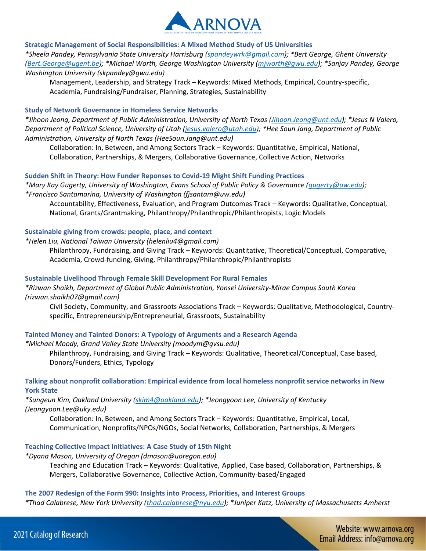

#### **Strategic Management of Social Responsibilities: A Mixed Method Study of US Universities**

*\*Sheela Pandey, Pennsylvania State University Harrisburg [\(spandeywrk@gmail.com\)](mailto:spandeywrk@gmail.com); \*Bert George, Ghent University [\(Bert.George@ugent.be\)](mailto:Bert.George@ugent.be); \*Michael Worth, George Washington University [\(mjworth@gwu.edu\)](mailto:mjworth@gwu.edu); \*Sanjay Pandey, George Washington University (skpandey@gwu.edu)*

Management, Leadership, and Strategy Track – Keywords: Mixed Methods, Empirical, Country-specific, Academia, Fundraising/Fundraiser, Planning, Strategies, Sustainability

#### **Study of Network Governance in Homeless Service Networks**

*\*Jihoon Jeong, Department of Public Administration, University of North Texas [\(Jihoon.Jeong@unt.edu\)](mailto:Jihoon.Jeong@unt.edu); \*Jesus N Valero, Department of Political Science, University of Utah [\(jesus.valero@utah.edu\)](mailto:jesus.valero@utah.edu); \*Hee Soun Jang, Department of Public Administration, University of North Texas (HeeSoun.Jang@unt.edu)*

Collaboration: In, Between, and Among Sectors Track – Keywords: Quantitative, Empirical, National, Collaboration, Partnerships, & Mergers, Collaborative Governance, Collective Action, Networks

#### **Sudden Shift in Theory: How Funder Reponses to Covid-19 Might Shift Funding Practices**

*\*Mary Kay Gugerty, University of Washington, Evans School of Public Policy & Governance [\(gugerty@uw.edu\)](mailto:gugerty@uw.edu); \*Francisco Santamarina, University of Washington (fjsantam@uw.edu)*

Accountability, Effectiveness, Evaluation, and Program Outcomes Track – Keywords: Qualitative, Conceptual, National, Grants/Grantmaking, Philanthropy/Philanthropic/Philanthropists, Logic Models

#### **Sustainable giving from crowds: people, place, and context**

*\*Helen Liu, National Taiwan University (helenliu4@gmail.com)*

Philanthropy, Fundraising, and Giving Track – Keywords: Quantitative, Theoretical/Conceptual, Comparative, Academia, Crowd-funding, Giving, Philanthropy/Philanthropic/Philanthropists

## **Sustainable Livelihood Through Female Skill Development For Rural Females**

*\*Rizwan Shaikh, Department of Global Public Administration, Yonsei University-Mirae Campus South Korea (rizwan.shaikh07@gmail.com)*

Civil Society, Community, and Grassroots Associations Track – Keywords: Qualitative, Methodological, Countryspecific, Entrepreneurship/Entrepreneurial, Grassroots, Sustainability

# **Tainted Money and Tainted Donors: A Typology of Arguments and a Research Agenda**

*\*Michael Moody, Grand Valley State University (moodym@gvsu.edu)*

Philanthropy, Fundraising, and Giving Track – Keywords: Qualitative, Theoretical/Conceptual, Case based, Donors/Funders, Ethics, Typology

# **Talking about nonprofit collaboration: Empirical evidence from local homeless nonprofit service networks in New York State**

*\*Sungeun Kim, Oakland University [\(skim4@oakland.edu\)](mailto:skim4@oakland.edu); \*Jeongyoon Lee, University of Kentucky (Jeongyoon.Lee@uky.edu)*

Collaboration: In, Between, and Among Sectors Track – Keywords: Quantitative, Empirical, Local, Communication, Nonprofits/NPOs/NGOs, Social Networks, Collaboration, Partnerships, & Mergers

#### **Teaching Collective Impact Initiatives: A Case Study of 15th Night**

*\*Dyana Mason, University of Oregon (dmason@uoregon.edu)*

Teaching and Education Track – Keywords: Qualitative, Applied, Case based, Collaboration, Partnerships, & Mergers, Collaborative Governance, Collective Action, Community-based/Engaged

#### **The 2007 Redesign of the Form 990: Insights into Process, Priorities, and Interest Groups**

*\*Thad Calabrese, New York University [\(thad.calabrese@nyu.edu\)](mailto:thad.calabrese@nyu.edu); \*Juniper Katz, University of Massachusetts Amherst*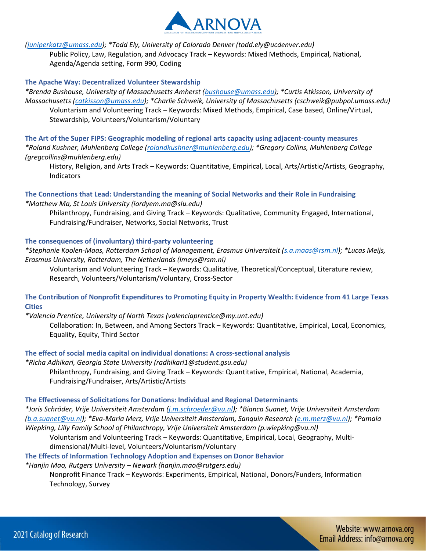

*[\(juniperkatz@umass.edu\)](mailto:juniperkatz@umass.edu); \*Todd Ely, University of Colorado Denver (todd.ely@ucdenver.edu)*

Public Policy, Law, Regulation, and Advocacy Track – Keywords: Mixed Methods, Empirical, National, Agenda/Agenda setting, Form 990, Coding

# **The Apache Way: Decentralized Volunteer Stewardship**

*\*Brenda Bushouse, University of Massachusetts Amherst [\(bushouse@umass.edu\)](mailto:bushouse@umass.edu); \*Curtis Atkisson, University of Massachusetts [\(catkisson@umass.edu\)](mailto:catkisson@umass.edu); \*Charlie Schweik, University of Massachusetts (cschweik@pubpol.umass.edu)* Voluntarism and Volunteering Track – Keywords: Mixed Methods, Empirical, Case based, Online/Virtual, Stewardship, Volunteers/Voluntarism/Voluntary

**The Art of the Super FIPS: Geographic modeling of regional arts capacity using adjacent-county measures**  *\*Roland Kushner, Muhlenberg College [\(rolandkushner@muhlenberg.edu\)](mailto:rolandkushner@muhlenberg.edu); \*Gregory Collins, Muhlenberg College (gregcollins@muhlenberg.edu)*

History, Religion, and Arts Track – Keywords: Quantitative, Empirical, Local, Arts/Artistic/Artists, Geography, Indicators

**The Connections that Lead: Understanding the meaning of Social Networks and their Role in Fundraising**  *\*Matthew Ma, St Louis University (iordyem.ma@slu.edu)*

Philanthropy, Fundraising, and Giving Track – Keywords: Qualitative, Community Engaged, International, Fundraising/Fundraiser, Networks, Social Networks, Trust

# **The consequences of (involuntary) third-party volunteering**

*\*Stephanie Koolen-Maas, Rotterdam School of Management, Erasmus Universiteit [\(s.a.maas@rsm.nl\)](mailto:s.a.maas@rsm.nl); \*Lucas Meijs, Erasmus University, Rotterdam, The Netherlands (lmeys@rsm.nl)*

Voluntarism and Volunteering Track – Keywords: Qualitative, Theoretical/Conceptual, Literature review, Research, Volunteers/Voluntarism/Voluntary, Cross-Sector

# **The Contribution of Nonprofit Expenditures to Promoting Equity in Property Wealth: Evidence from 41 Large Texas Cities**

*\*Valencia Prentice, University of North Texas (valenciaprentice@my.unt.edu)*

Collaboration: In, Between, and Among Sectors Track – Keywords: Quantitative, Empirical, Local, Economics, Equality, Equity, Third Sector

**The effect of social media capital on individual donations: A cross-sectional analysis** 

*\*Richa Adhikari, Georgia State University (radhikari1@student.gsu.edu)* Philanthropy, Fundraising, and Giving Track – Keywords: Quantitative, Empirical, National, Academia, Fundraising/Fundraiser, Arts/Artistic/Artists

# **The Effectiveness of Solicitations for Donations: Individual and Regional Determinants**

*\*Joris Schröder, Vrije Universiteit Amsterdam [\(j.m.schroeder@vu.nl\)](mailto:j.m.schroeder@vu.nl); \*Bianca Suanet, Vrije Universiteit Amsterdam [\(b.a.suanet@vu.nl\)](mailto:b.a.suanet@vu.nl); \*Eva-Maria Merz, Vrije Universiteit Amsterdam, Sanquin Research [\(e.m.merz@vu.nl\)](mailto:e.m.merz@vu.nl); \*Pamala Wiepking, Lilly Family School of Philanthropy, Vrije Universiteit Amsterdam (p.wiepking@vu.nl)*

Voluntarism and Volunteering Track – Keywords: Quantitative, Empirical, Local, Geography, Multidimensional/Multi-level, Volunteers/Voluntarism/Voluntary

**The Effects of Information Technology Adoption and Expenses on Donor Behavior** 

*\*Hanjin Mao, Rutgers University – Newark (hanjin.mao@rutgers.edu)*

Nonprofit Finance Track – Keywords: Experiments, Empirical, National, Donors/Funders, Information Technology, Survey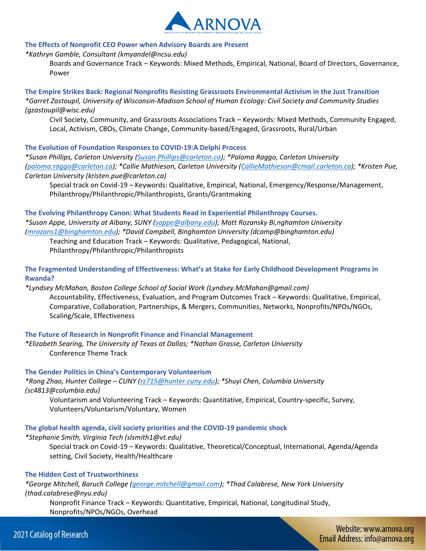

#### **The Effects of Nonprofit CEO Power when Advisory Boards are Present**

#### *\*Kathryn Gamble, Consultant (kmyandel@ncsu.edu)*

Boards and Governance Track – Keywords: Mixed Methods, Empirical, National, Board of Directors, Governance, Power

**The Empire Strikes Back: Regional Nonprofits Resisting Grassroots Environmental Activism in the Just Transition**  *\*Garret Zastoupil, University of Wisconsin-Madison School of Human Ecology: Civil Society and Community Studies (gzastoupil@wisc.edu)*

Civil Society, Community, and Grassroots Associations Track – Keywords: Mixed Methods, Community Engaged, Local, Activism, CBOs, Climate Change, Community-based/Engaged, Grassroots, Rural/Urban

#### **The Evolution of Foundation Responses to COVID-19:A Delphi Process**

*\*Susan Phillips, Carleton University [\(Susan.Phillips@carleton.ca\)](mailto:Susan.Phillips@carleton.ca); \*Paloma Raggo, Carleton University [\(paloma.raggo@carleton.ca\)](mailto:paloma.raggo@carleton.ca); \*Callie Mathieson, Carleton University [\(CallieMathieson@cmail.carleton.ca\)](mailto:CallieMathieson@cmail.carleton.ca); \*Kristen Pue, Carleton University (kristen.pue@carleton.ca)*

Special track on Covid-19 – Keywords: Qualitative, Empirical, National, Emergency/Response/Management, Philanthropy/Philanthropic/Philanthropists, Grants/Grantmaking

**The Evolving Philanthropy Canon: What Students Read in Experiential Philanthropy Courses.**  *\*Susan Appe, University at Albany, SUNY [\(sappe@albany.edu\)](mailto:sappe@albany.edu); Matt Rozansky Bi,nghamton University [\(mrozans1@binghamton.edu\)](mailto:mrozans1@binghamton.edu); \*David Campbell, Binghamton University (dcamp@binghamton.edu)*

Teaching and Education Track – Keywords: Qualitative, Pedagogical, National, Philanthropy/Philanthropic/Philanthropists

**The Fragmented Understanding of Effectiveness: What's at Stake for Early Childhood Development Programs in Rwanda?** 

*\*Lyndsey McMahan, Boston College School of Social Work (Lyndsey.McMahan@gmail.com)* Accountability, Effectiveness, Evaluation, and Program Outcomes Track – Keywords: Qualitative, Empirical, Comparative, Collaboration, Partnerships, & Mergers, Communities, Networks, Nonprofits/NPOs/NGOs, Scaling/Scale, Effectiveness

#### **The Future of Research in Nonprofit Finance and Financial Management**

*\*Elizabeth Searing, The University of Texas at Dallas; \*Nathan Grasse, Carleton University* Conference Theme Track

#### **The Gender Politics in China's Contemporary Volunteerism**

*\*Rong Zhao, Hunter College – CUNY [\(rz715@hunter.cuny.edu\)](mailto:rz715@hunter.cuny.edu); \*Shuyi Chen, Columbia University (sc4813@columbia.edu)*

Voluntarism and Volunteering Track – Keywords: Quantitative, Empirical, Country-specific, Survey, Volunteers/Voluntarism/Voluntary, Women

#### **The global health agenda, civil society priorities and the COVID-19 pandemic shock**

#### *\*Stephanie Smith, Virginia Tech (slsmith1@vt.edu)*

Special track on Covid-19 – Keywords: Qualitative, Theoretical/Conceptual, International, Agenda/Agenda setting, Civil Society, Health/Healthcare

# **The Hidden Cost of Trustworthiness**

*\*George Mitchell, Baruch College [\(george.mitchell@gmail.com\)](mailto:george.mitchell@gmail.com); \*Thad Calabrese, New York University (thad.calabrese@nyu.edu)*

Nonprofit Finance Track – Keywords: Quantitative, Empirical, National, Longitudinal Study, Nonprofits/NPOs/NGOs, Overhead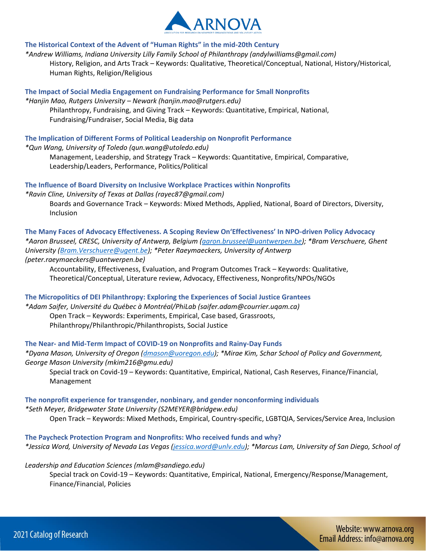

# **The Historical Context of the Advent of "Human Rights" in the mid-20th Century**

*\*Andrew Williams, Indiana University Lilly Family School of Philanthropy (andylwilliams@gmail.com)* History, Religion, and Arts Track – Keywords: Qualitative, Theoretical/Conceptual, National, History/Historical, Human Rights, Religion/Religious

# **The Impact of Social Media Engagement on Fundraising Performance for Small Nonprofits**

*\*Hanjin Mao, Rutgers University – Newark (hanjin.mao@rutgers.edu)* Philanthropy, Fundraising, and Giving Track – Keywords: Quantitative, Empirical, National, Fundraising/Fundraiser, Social Media, Big data

# **The Implication of Different Forms of Political Leadership on Nonprofit Performance**

*\*Qun Wang, University of Toledo (qun.wang@utoledo.edu)*

Management, Leadership, and Strategy Track – Keywords: Quantitative, Empirical, Comparative, Leadership/Leaders, Performance, Politics/Political

# **The Influence of Board Diversity on Inclusive Workplace Practices within Nonprofits**

*\*Ravin Cline, University of Texas at Dallas (rayec87@gmail.com)* Boards and Governance Track – Keywords: Mixed Methods, Applied, National, Board of Directors, Diversity, Inclusion

**The Many Faces of Advocacy Effectiveness. A Scoping Review On'Effectiveness' In NPO-driven Policy Advocacy**  *\*Aaron Brusseel, CRESC, University of Antwerp, Belgium [\(aaron.brusseel@uantwerpen.be\)](mailto:aaron.brusseel@uantwerpen.be); \*Bram Verschuere, Ghent University [\(Bram.Verschuere@ugent.be\)](mailto:Bram.Verschuere@ugent.be); \*Peter Raeymaeckers, University of Antwerp (peter.raeymaeckers@uantwerpen.be)*

Accountability, Effectiveness, Evaluation, and Program Outcomes Track – Keywords: Qualitative, Theoretical/Conceptual, Literature review, Advocacy, Effectiveness, Nonprofits/NPOs/NGOs

**The Micropolitics of DEI Philanthropy: Exploring the Experiences of Social Justice Grantees** 

*\*Adam Saifer, Université du Québec à Montréal/PhiLab (saifer.adam@courrier.uqam.ca)* Open Track – Keywords: Experiments, Empirical, Case based, Grassroots, Philanthropy/Philanthropic/Philanthropists, Social Justice

# **The Near- and Mid-Term Impact of COVID-19 on Nonprofits and Rainy-Day Funds**

*\*Dyana Mason, University of Oregon [\(dmason@uoregon.edu\)](mailto:dmason@uoregon.edu); \*Mirae Kim, Schar School of Policy and Government, George Mason University (mkim216@gmu.edu)*

Special track on Covid-19 – Keywords: Quantitative, Empirical, National, Cash Reserves, Finance/Financial, Management

**The nonprofit experience for transgender, nonbinary, and gender nonconforming individuals**  *\*Seth Meyer, Bridgewater State University (S2MEYER@bridgew.edu)* Open Track – Keywords: Mixed Methods, Empirical, Country-specific, LGBTQIA, Services/Service Area, Inclusion

**The Paycheck Protection Program and Nonprofits: Who received funds and why?**  *\*Jessica Word, University of Nevada Las Vegas [\(jessica.word@unlv.edu\)](mailto:jessica.word@unlv.edu); \*Marcus Lam, University of San Diego, School of* 

# *Leadership and Education Sciences (mlam@sandiego.edu)*

Special track on Covid-19 – Keywords: Quantitative, Empirical, National, Emergency/Response/Management, Finance/Financial, Policies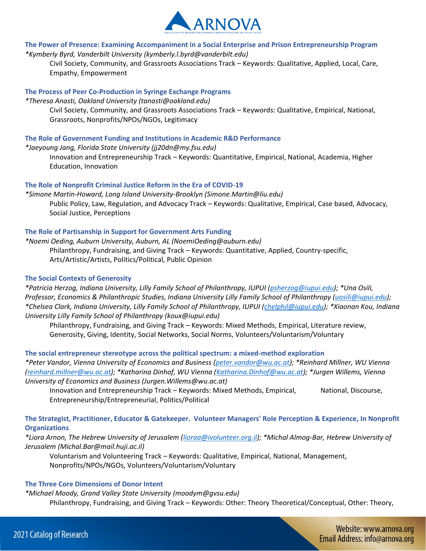

#### **The Power of Presence: Examining Accompaniment in a Social Enterprise and Prison Entrepreneurship Program**  *\*Kymberly Byrd, Vanderbilt University (kymberly.l.byrd@vanderbilt.edu)*

Civil Society, Community, and Grassroots Associations Track – Keywords: Qualitative, Applied, Local, Care, Empathy, Empowerment

# **The Process of Peer Co-Production in Syringe Exchange Programs**

*\*Theresa Anasti, Oakland University (tanasti@oakland.edu)* Civil Society, Community, and Grassroots Associations Track – Keywords: Qualitative, Empirical, National, Grassroots, Nonprofits/NPOs/NGOs, Legitimacy

# **The Role of Government Funding and Institutions in Academic R&D Performance**

*\*Jaeyoung Jang, Florida State University (jj20dn@my.fsu.edu)*

Innovation and Entrepreneurship Track – Keywords: Quantitative, Empirical, National, Academia, Higher Education, Innovation

# **The Role of Nonprofit Criminal Justice Reform in the Era of COVID-19**

*\*Simone Martin-Howard, Long Island University-Brooklyn (Simone.Martin@liu.edu)* Public Policy, Law, Regulation, and Advocacy Track – Keywords: Qualitative, Empirical, Case based, Advocacy, Social Justice, Perceptions

# **The Role of Partisanship in Support for Government Arts Funding**

*\*Noemi Oeding, Auburn University, Auburn, AL (NoemiOeding@auburn.edu)* Philanthropy, Fundraising, and Giving Track – Keywords: Quantitative, Applied, Country-specific, Arts/Artistic/Artists, Politics/Political, Public Opinion

# **The Social Contexts of Generosity**

*\*Patricia Herzog, Indiana University, Lilly Family School of Philanthropy, IUPUI [\(psherzog@iupui.edu\)](mailto:psherzog@iupui.edu); \*Una Osili, Professor, Economics & Philanthropic Studies, Indiana University Lilly Family School of Philanthropy [\(uosili@iupui.edu\)](mailto:uosili@iupui.edu); \*Chelsea Clark, Indiana University, Lilly Family School of Philanthropy, IUPUI [\(chelphil@iupui.edu\)](mailto:chelphil@iupui.edu); \*Xiaonan Kou, Indiana University Lilly Family School of Philanthropy (koux@iupui.edu)*

Philanthropy, Fundraising, and Giving Track – Keywords: Mixed Methods, Empirical, Literature review, Generosity, Giving, Identity, Social Networks, Social Norms, Volunteers/Voluntarism/Voluntary

# **The social entrepreneur stereotype across the political spectrum: a mixed-method exploration**

*\*Peter Vandor, Vienna University of Economics and Business [\(peter.vandor@wu.ac.at\)](mailto:peter.vandor@wu.ac.at); \*Reinhard Millner, WU Vienna [\(reinhard.millner@wu.ac.at\)](mailto:reinhard.millner@wu.ac.at); \*Katharina Dinhof, WU Vienna [\(Katharina.Dinhof@wu.ac.at\)](mailto:Katharina.Dinhof@wu.ac.at); \*Jurgen Willems, Vienna University of Economics and Business (Jurgen.Willems@wu.ac.at)*

Innovation and Entrepreneurship Track – Keywords: Mixed Methods, Empirical, National, Discourse, Entrepreneurship/Entrepreneurial, Politics/Political

# **The Strategist, Practitioner, Educator & Gatekeeper. Volunteer Managers' Role Perception & Experience, In Nonprofit Organizations**

*\*Liora Arnon, The Hebrew University of Jerusalem [\(lioraa@ivolunteer.org.il\)](mailto:lioraa@ivolunteer.org.il); \*Michal Almog-Bar, Hebrew University of Jerusalem (Michal.Bar@mail.huji.ac.il)*

Voluntarism and Volunteering Track – Keywords: Qualitative, Empirical, National, Management, Nonprofits/NPOs/NGOs, Volunteers/Voluntarism/Voluntary

# **The Three Core Dimensions of Donor Intent**

*\*Michael Moody, Grand Valley State University (moodym@gvsu.edu)* Philanthropy, Fundraising, and Giving Track – Keywords: Other: Theory Theoretical/Conceptual, Other: Theory,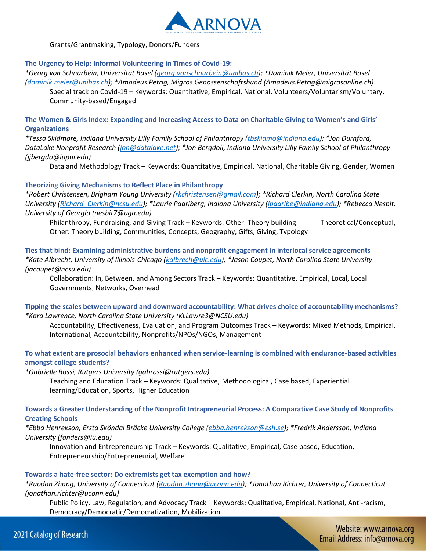

Grants/Grantmaking, Typology, Donors/Funders

# **The Urgency to Help: Informal Volunteering in Times of Covid-19:**

*\*Georg von Schnurbein, Universität Basel [\(georg.vonschnurbein@unibas.ch\)](mailto:georg.vonschnurbein@unibas.ch); \*Dominik Meier, Universität Basel [\(dominik.meier@unibas.ch\)](mailto:dominik.meier@unibas.ch); \*Amadeus Petrig, Migros Genossenschaftsbund (Amadeus.Petrig@migrosonline.ch)*

Special track on Covid-19 – Keywords: Quantitative, Empirical, National, Volunteers/Voluntarism/Voluntary, Community-based/Engaged

**The Women & Girls Index: Expanding and Increasing Access to Data on Charitable Giving to Women's and Girls' Organizations** 

*\*Tessa Skidmore, Indiana University Lilly Family School of Philanthropy [\(tbskidmo@indiana.edu\)](mailto:tbskidmo@indiana.edu); \*Jon Durnford, DataLake Nonprofit Research [\(jon@datalake.net\)](mailto:jon@datalake.net); \*Jon Bergdoll, Indiana University Lilly Family School of Philanthropy (jjbergdo@iupui.edu)*

Data and Methodology Track – Keywords: Quantitative, Empirical, National, Charitable Giving, Gender, Women

# **Theorizing Giving Mechanisms to Reflect Place in Philanthropy**

*\*Robert Christensen, Brigham Young University [\(rkchristensen@gmail.com\)](mailto:rkchristensen@gmail.com); \*Richard Clerkin, North Carolina State University [\(Richard\\_Clerkin@ncsu.edu\)](mailto:Richard_Clerkin@ncsu.edu); \*Laurie Paarlberg, Indiana University [\(lpaarlbe@indiana.edu\)](mailto:lpaarlbe@indiana.edu); \*Rebecca Nesbit, University of Georgia (nesbit7@uga.edu)*

Philanthropy, Fundraising, and Giving Track – Keywords: Other: Theory building Theoretical/Conceptual, Other: Theory building, Communities, Concepts, Geography, Gifts, Giving, Typology

**Ties that bind: Examining administrative burdens and nonprofit engagement in interlocal service agreements**  *\*Kate Albrecht, University of Illinois-Chicago [\(kalbrech@uic.edu\)](mailto:kalbrech@uic.edu); \*Jason Coupet, North Carolina State University (jacoupet@ncsu.edu)*

Collaboration: In, Between, and Among Sectors Track – Keywords: Quantitative, Empirical, Local, Local Governments, Networks, Overhead

# **Tipping the scales between upward and downward accountability: What drives choice of accountability mechanisms?**  *\*Kara Lawrence, North Carolina State University (KLLawre3@NCSU.edu)*

Accountability, Effectiveness, Evaluation, and Program Outcomes Track – Keywords: Mixed Methods, Empirical, International, Accountability, Nonprofits/NPOs/NGOs, Management

# **To what extent are prosocial behaviors enhanced when service-learning is combined with endurance-based activities amongst college students?**

*\*Gabrielle Rossi, Rutgers University (gabrossi@rutgers.edu)*

Teaching and Education Track – Keywords: Qualitative, Methodological, Case based, Experiential learning/Education, Sports, Higher Education

# **Towards a Greater Understanding of the Nonprofit Intrapreneurial Process: A Comparative Case Study of Nonprofits Creating Schools**

*\*Ebba Henrekson, Ersta Sköndal Bräcke University College [\(ebba.henrekson@esh.se\)](mailto:ebba.henrekson@esh.se); \*Fredrik Andersson, Indiana University (fanders@iu.edu)*

Innovation and Entrepreneurship Track – Keywords: Qualitative, Empirical, Case based, Education, Entrepreneurship/Entrepreneurial, Welfare

# **Towards a hate-free sector: Do extremists get tax exemption and how?**

*\*Ruodan Zhang, University of Connecticut [\(Ruodan.zhang@uconn.edu\)](mailto:Ruodan.zhang@uconn.edu); \*Jonathan Richter, University of Connecticut (jonathan.richter@uconn.edu)*

Public Policy, Law, Regulation, and Advocacy Track – Keywords: Qualitative, Empirical, National, Anti-racism, Democracy/Democratic/Democratization, Mobilization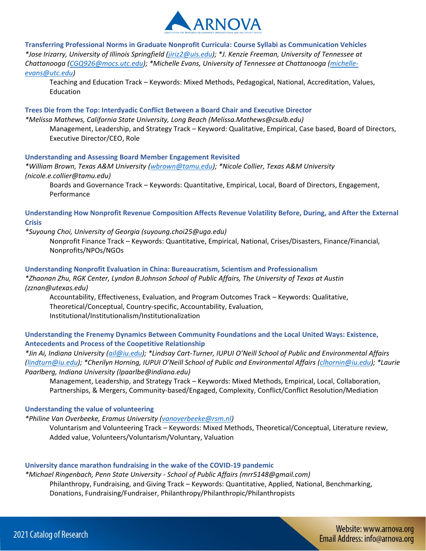

**Transferring Professional Norms in Graduate Nonprofit Curricula: Course Syllabi as Communication Vehicles**  *\*Jose Irizarry, University of Illinois Springfield [\(jiriz2@uis.edu\)](mailto:jiriz2@uis.edu); \*J. Kenzie Freeman, University of Tennessee at Chattanooga [\(CGQ926@mocs.utc.edu\)](mailto:CGQ926@mocs.utc.edu); \*Michelle Evans, University of Tennessee at Chattanooga [\(michelle](mailto:michelle-evans@utc.edu)[evans@utc.edu\)](mailto:michelle-evans@utc.edu)*

Teaching and Education Track – Keywords: Mixed Methods, Pedagogical, National, Accreditation, Values, Education

**Trees Die from the Top: Interdyadic Conflict Between a Board Chair and Executive Director**  *\*Melissa Mathews, California State University, Long Beach (Melissa.Mathews@csulb.edu)* Management, Leadership, and Strategy Track – Keyword: Qualitative, Empirical, Case based, Board of Directors, Executive Director/CEO, Role

#### **Understanding and Assessing Board Member Engagement Revisited**

*\*William Brown, Texas A&M University [\(wbrown@tamu.edu\)](mailto:wbrown@tamu.edu); \*Nicole Collier, Texas A&M University (nicole.e.collier@tamu.edu)*

Boards and Governance Track – Keywords: Quantitative, Empirical, Local, Board of Directors, Engagement, Performance

**Understanding How Nonprofit Revenue Composition Affects Revenue Volatility Before, During, and After the External Crisis** 

#### *\*Suyoung Choi, University of Georgia (suyoung.choi25@uga.edu)*

Nonprofit Finance Track – Keywords: Quantitative, Empirical, National, Crises/Disasters, Finance/Financial, Nonprofits/NPOs/NGOs

#### **Understanding Nonprofit Evaluation in China: Bureaucratism, Scientism and Professionalism**

*\*Zhaonan Zhu, RGK Center, Lyndon B.Johnson School of Public Affairs, The University of Texas at Austin (zznan@utexas.edu)*

Accountability, Effectiveness, Evaluation, and Program Outcomes Track – Keywords: Qualitative, Theoretical/Conceptual, Country-specific, Accountability, Evaluation, Institutional/Institutionalism/Institutionalization

# **Understanding the Frenemy Dynamics Between Community Foundations and the Local United Ways: Existence, Antecedents and Process of the Coopetitive Relationship**

*\*Jin Ai, Indiana University [\(ail@iu.edu\)](mailto:ail@iu.edu); \*Lindsay Cart-Turner, IUPUI O'Neill School of Public and Environmental Affairs [\(lindturn@iu.edu\)](mailto:lindturn@iu.edu); \*Cherilyn Horning, IUPUI O'Neill School of Public and Environmental Affairs ([clhornin@iu.edu\)](mailto:clhornin@iu.edu); \*Laurie Paarlberg, Indiana University (lpaarlbe@indiana.edu)*

Management, Leadership, and Strategy Track – Keywords: Mixed Methods, Empirical, Local, Collaboration, Partnerships, & Mergers, Community-based/Engaged, Complexity, Conflict/Conflict Resolution/Mediation

# **Understanding the value of volunteering**

*\*Philine Van Overbeeke, Eramus University [\(vanoverbeeke@rsm.nl\)](mailto:vanoverbeeke@rsm.nl)*

Voluntarism and Volunteering Track – Keywords: Mixed Methods, Theoretical/Conceptual, Literature review, Added value, Volunteers/Voluntarism/Voluntary, Valuation

#### **University dance marathon fundraising in the wake of the COVID-19 pandemic**

*\*Michael Ringenbach, Penn State University - School of Public Affairs (mrr5148@gmail.com)* Philanthropy, Fundraising, and Giving Track – Keywords: Quantitative, Applied, National, Benchmarking, Donations, Fundraising/Fundraiser, Philanthropy/Philanthropic/Philanthropists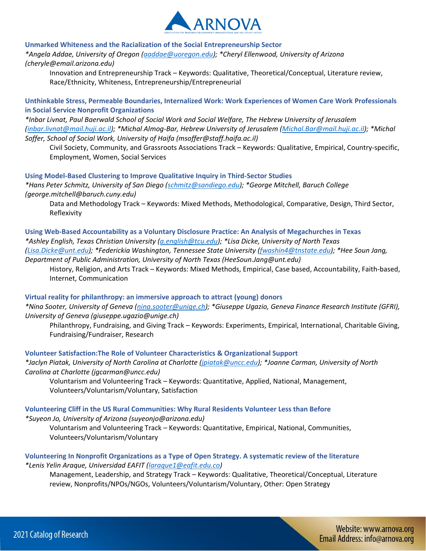

# **Unmarked Whiteness and the Racialization of the Social Entrepreneurship Sector**

*\*Angela Addae, University of Oregon [\(aaddae@uoregon.edu\)](mailto:aaddae@uoregon.edu); \*Cheryl Ellenwood, University of Arizona (cheryle@email.arizona.edu)*

Innovation and Entrepreneurship Track – Keywords: Qualitative, Theoretical/Conceptual, Literature review, Race/Ethnicity, Whiteness, Entrepreneurship/Entrepreneurial

**Unthinkable Stress, Permeable Boundaries, Internalized Work: Work Experiences of Women Care Work Professionals in Social Service Nonprofit Organizations** 

*\*Inbar Livnat, Paul Baerwald School of Social Work and Social Welfare, The Hebrew University of Jerusalem [\(inbar.livnat@mail.huji.ac.il\)](mailto:inbar.livnat@mail.huji.ac.il); \*Michal Almog-Bar, Hebrew University of Jerusalem [\(Michal.Bar@mail.huji.ac.il\)](mailto:Michal.Bar@mail.huji.ac.il); \*Michal Soffer, School of Social Work, University of Haifa (msoffer@staff.haifa.ac.il)*

Civil Society, Community, and Grassroots Associations Track – Keywords: Qualitative, Empirical, Country-specific, Employment, Women, Social Services

**Using Model-Based Clustering to Improve Qualitative Inquiry in Third-Sector Studies** 

*\*Hans Peter Schmitz, University of San Diego [\(schmitz@sandiego.edu\)](mailto:schmitz@sandiego.edu); \*George Mitchell, Baruch College (george.mitchell@baruch.cuny.edu)*

Data and Methodology Track – Keywords: Mixed Methods, Methodological, Comparative, Design, Third Sector, Reflexivity

**Using Web-Based Accountability as a Voluntary Disclosure Practice: An Analysis of Megachurches in Texas**  *\*Ashley English, Texas Christian University [\(a.english@tcu.edu\)](mailto:a.english@tcu.edu); \*Lisa Dicke, University of North Texas [\(Lisa.Dicke@unt.edu\)](mailto:Lisa.Dicke@unt.edu); \*Federickia Washington, Tennessee State University [\(fwashin4@tnstate.edu\)](mailto:fwashin4@tnstate.edu); \*Hee Soun Jang, Department of Public Administration, University of North Texas (HeeSoun.Jang@unt.edu)*

History, Religion, and Arts Track – Keywords: Mixed Methods, Empirical, Case based, Accountability, Faith-based, Internet, Communication

# **Virtual reality for philanthropy: an immersive approach to attract (young) donors**

*\*Nina Sooter, University of Geneva [\(nina.sooter@unige.ch\)](mailto:nina.sooter@unige.ch); \*Giuseppe Ugazio, Geneva Finance Research Institute (GFRI), University of Geneva (giuseppe.ugazio@unige.ch)*

Philanthropy, Fundraising, and Giving Track – Keywords: Experiments, Empirical, International, Charitable Giving, Fundraising/Fundraiser, Research

# **Volunteer Satisfaction:The Role of Volunteer Characteristics & Organizational Support**

*\*Jaclyn Piatak, University of North Carolina at Charlotte [\(jpiatak@uncc.edu\)](mailto:jpiatak@uncc.edu); \*Joanne Carman, University of North Carolina at Charlotte (jgcarman@uncc.edu)*

Voluntarism and Volunteering Track – Keywords: Quantitative, Applied, National, Management, Volunteers/Voluntarism/Voluntary, Satisfaction

# **Volunteering Cliff in the US Rural Communities: Why Rural Residents Volunteer Less than Before**

*\*Suyeon Jo, University of Arizona (suyeonjo@arizona.edu)*

Voluntarism and Volunteering Track – Keywords: Quantitative, Empirical, National, Communities, Volunteers/Voluntarism/Voluntary

# **Volunteering In Nonprofit Organizations as a Type of Open Strategy. A systematic review of the literature**  *\*Lenis Yelin Araque, Universidad EAFIT [\(laraque1@eafit.edu.co\)](mailto:laraque1@eafit.edu.co)*

Management, Leadership, and Strategy Track – Keywords: Qualitative, Theoretical/Conceptual, Literature review, Nonprofits/NPOs/NGOs, Volunteers/Voluntarism/Voluntary, Other: Open Strategy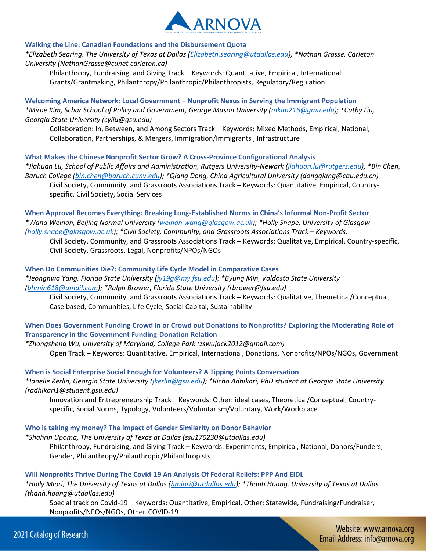

# **Walking the Line: Canadian Foundations and the Disbursement Quota**

*\*Elizabeth Searing, The University of Texas at Dallas [\(Elizabeth.searing@utdallas.edu\)](mailto:Elizabeth.searing@utdallas.edu); \*Nathan Grasse, Carleton University (NathanGrasse@cunet.carleton.ca)*

Philanthropy, Fundraising, and Giving Track – Keywords: Quantitative, Empirical, International, Grants/Grantmaking, Philanthropy/Philanthropic/Philanthropists, Regulatory/Regulation

**Welcoming America Network: Local Government – Nonprofit Nexus in Serving the Immigrant Population**  *\*Mirae Kim, Schar School of Policy and Government, George Mason University [\(mkim216@gmu.edu\)](mailto:mkim216@gmu.edu); \*Cathy Liu, Georgia State University (cyliu@gsu.edu)*

Collaboration: In, Between, and Among Sectors Track – Keywords: Mixed Methods, Empirical, National, Collaboration, Partnerships, & Mergers, Immigration/Immigrants , Infrastructure

#### **What Makes the Chinese Nonprofit Sector Grow? A Cross-Province Configurational Analysis**

*\*Jiahuan Lu, School of Public Affairs and Administration, Rutgers University-Newark [\(jiahuan.lu@rutgers.edu\)](mailto:jiahuan.lu@rutgers.edu); \*Bin Chen, Baruch College [\(bin.chen@baruch.cuny.edu\)](mailto:bin.chen@baruch.cuny.edu); \*Qiang Dong, China Agricultural University (dongqiang@cau.edu.cn)* Civil Society, Community, and Grassroots Associations Track – Keywords: Quantitative, Empirical, Countryspecific, Civil Society, Social Services

**When Approval Becomes Everything: Breaking Long-Established Norms in China's Informal Non-Profit Sector**  *\*Wang Weinan, Beijing Normal University [\(weinan.wang@glasgow.ac.uk\)](mailto:weinan.wang@glasgow.ac.uk); \*Holly Snape, University of Glasgow [\(holly.snape@glasgow.ac.uk\)](mailto:holly.snape@glasgow.ac.uk); \*Civil Society, Community, and Grassroots Associations Track – Keywords:* 

Civil Society, Community, and Grassroots Associations Track – Keywords: Qualitative, Empirical, Country-specific, Civil Society, Grassroots, Legal, Nonprofits/NPOs/NGOs

#### **When Do Communities Die?: Community Life Cycle Model in Comparative Cases**

*\*Jeonghwa Yang, Florida State University [\(jy19g@my.fsu.edu\)](mailto:jy19g@my.fsu.edu); \*Byung Min, Valdosta State University [\(bhmin618@gmail.com\)](mailto:bhmin618@gmail.com); \*Ralph Brower, Florida State University (rbrower@fsu.edu)*

Civil Society, Community, and Grassroots Associations Track – Keywords: Qualitative, Theoretical/Conceptual, Case based, Communities, Life Cycle, Social Capital, Sustainability

# **When Does Government Funding Crowd in or Crowd out Donations to Nonprofits? Exploring the Moderating Role of Transparency in the Government Funding-Donation Relation**

*\*Zhongsheng Wu, University of Maryland, College Park (zswujack2012@gmail.com)* Open Track – Keywords: Quantitative, Empirical, International, Donations, Nonprofits/NPOs/NGOs, Government

## **When is Social Enterprise Social Enough for Volunteers? A Tipping Points Conversation**  *\*Janelle Kerlin, Georgia State University [\(jkerlin@gsu.edu\)](mailto:jkerlin@gsu.edu); \*Richa Adhikari, PhD student at Georgia State University (radhikari1@student.gsu.edu)*

Innovation and Entrepreneurship Track – Keywords: Other: ideal cases, Theoretical/Conceptual, Countryspecific, Social Norms, Typology, Volunteers/Voluntarism/Voluntary, Work/Workplace

**Who is taking my money? The Impact of Gender Similarity on Donor Behavior** 

# *\*Shahrin Upoma, The University of Texas at Dallas (ssu170230@utdallas.edu)*

Philanthropy, Fundraising, and Giving Track – Keywords: Experiments, Empirical, National, Donors/Funders, Gender, Philanthropy/Philanthropic/Philanthropists

#### **Will Nonprofits Thrive During The Covid-19 An Analysis Of Federal Reliefs: PPP And EIDL**

*\*Holly Miori, The University of Texas at Dallas [\(hmiori@utdallas.edu\)](mailto:hmiori@utdallas.edu); \*Thanh Hoang, University of Texas at Dallas (thanh.hoang@utdallas.edu)*

Special track on Covid-19 – Keywords: Quantitative, Empirical, Other: Statewide, Fundraising/Fundraiser, Nonprofits/NPOs/NGOs, Other COVID-19